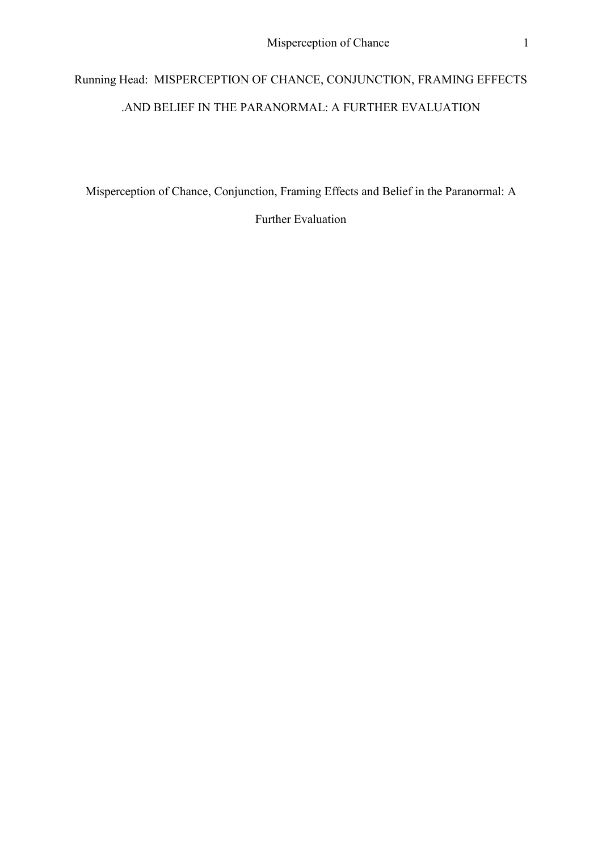# Running Head: MISPERCEPTION OF CHANCE, CONJUNCTION, FRAMING EFFECTS .AND BELIEF IN THE PARANORMAL: A FURTHER EVALUATION

Misperception of Chance, Conjunction, Framing Effects and Belief in the Paranormal: A

Further Evaluation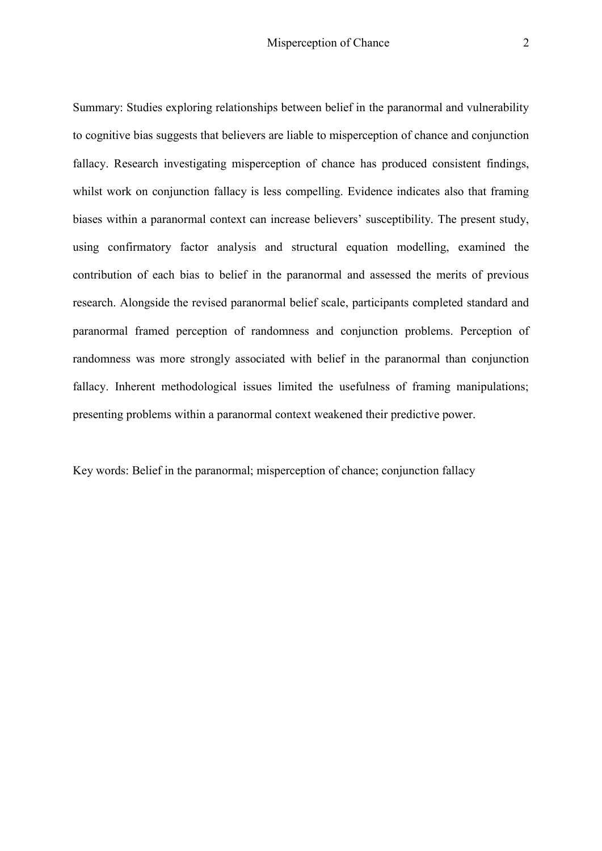Summary: Studies exploring relationships between belief in the paranormal and vulnerability to cognitive bias suggests that believers are liable to misperception of chance and conjunction fallacy. Research investigating misperception of chance has produced consistent findings, whilst work on conjunction fallacy is less compelling. Evidence indicates also that framing biases within a paranormal context can increase believers' susceptibility. The present study, using confirmatory factor analysis and structural equation modelling, examined the contribution of each bias to belief in the paranormal and assessed the merits of previous research. Alongside the revised paranormal belief scale, participants completed standard and paranormal framed perception of randomness and conjunction problems. Perception of randomness was more strongly associated with belief in the paranormal than conjunction fallacy. Inherent methodological issues limited the usefulness of framing manipulations; presenting problems within a paranormal context weakened their predictive power.

Key words: Belief in the paranormal; misperception of chance; conjunction fallacy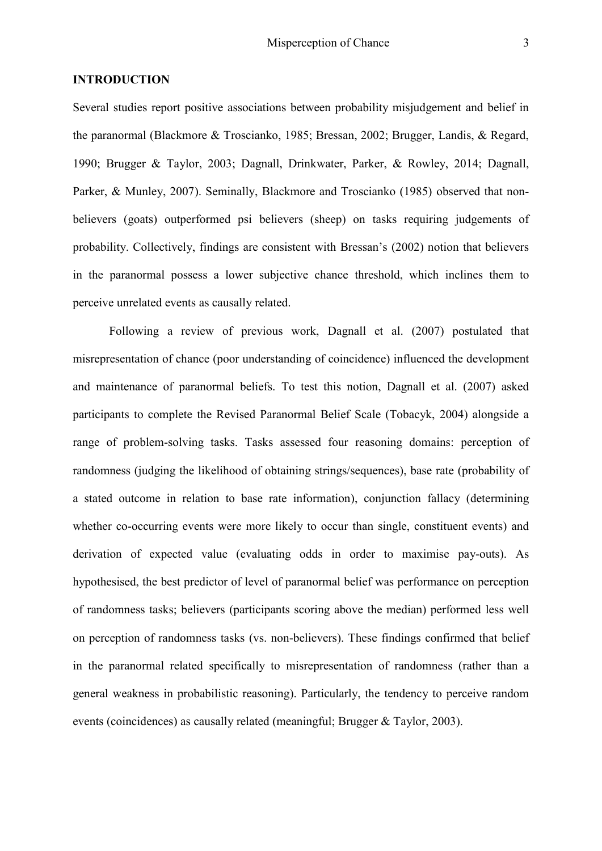#### **INTRODUCTION**

Several studies report positive associations between probability misjudgement and belief in the paranormal (Blackmore & Troscianko, 1985; Bressan, 2002; Brugger, Landis, & Regard, 1990; Brugger & Taylor, 2003; Dagnall, Drinkwater, Parker, & Rowley, 2014; Dagnall, Parker, & Munley, 2007). Seminally, Blackmore and Troscianko (1985) observed that nonbelievers (goats) outperformed psi believers (sheep) on tasks requiring judgements of probability. Collectively, findings are consistent with Bressan's (2002) notion that believers in the paranormal possess a lower subjective chance threshold, which inclines them to perceive unrelated events as causally related.

Following a review of previous work, Dagnall et al. (2007) postulated that misrepresentation of chance (poor understanding of coincidence) influenced the development and maintenance of paranormal beliefs. To test this notion, Dagnall et al. (2007) asked participants to complete the Revised Paranormal Belief Scale (Tobacyk, 2004) alongside a range of problem-solving tasks. Tasks assessed four reasoning domains: perception of randomness (judging the likelihood of obtaining strings/sequences), base rate (probability of a stated outcome in relation to base rate information), conjunction fallacy (determining whether co-occurring events were more likely to occur than single, constituent events) and derivation of expected value (evaluating odds in order to maximise pay-outs). As hypothesised, the best predictor of level of paranormal belief was performance on perception of randomness tasks; believers (participants scoring above the median) performed less well on perception of randomness tasks (vs. non-believers). These findings confirmed that belief in the paranormal related specifically to misrepresentation of randomness (rather than a general weakness in probabilistic reasoning). Particularly, the tendency to perceive random events (coincidences) as causally related (meaningful; Brugger & Taylor, 2003).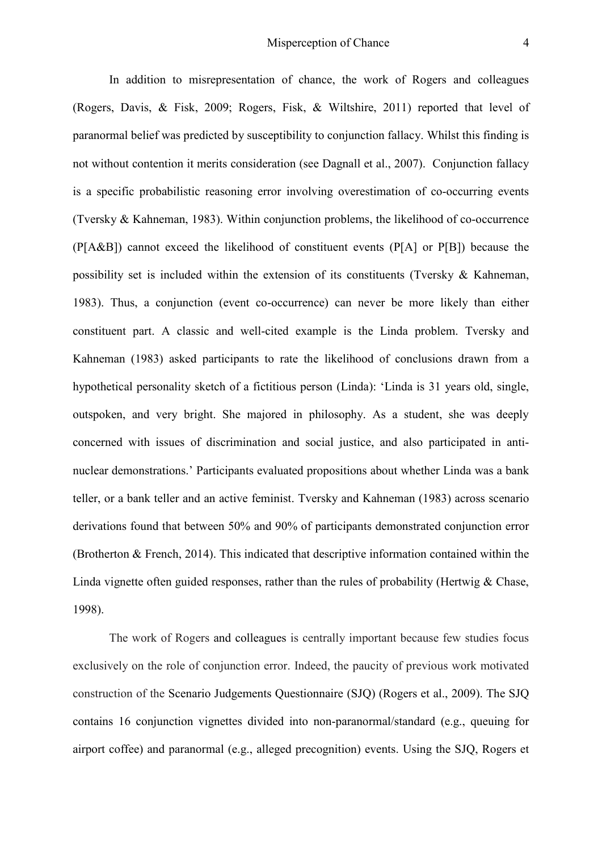In addition to misrepresentation of chance, the work of Rogers and colleagues (Rogers, Davis, & Fisk, 2009; Rogers, Fisk, & Wiltshire, 2011) reported that level of paranormal belief was predicted by susceptibility to conjunction fallacy. Whilst this finding is not without contention it merits consideration (see Dagnall et al., 2007). Conjunction fallacy is a specific probabilistic reasoning error involving overestimation of co-occurring events (Tversky & Kahneman, 1983). Within conjunction problems, the likelihood of co-occurrence (P[A&B]) cannot exceed the likelihood of constituent events (P[A] or P[B]) because the possibility set is included within the extension of its constituents (Tversky & Kahneman, 1983). Thus, a conjunction (event co-occurrence) can never be more likely than either constituent part. A classic and well-cited example is the Linda problem. Tversky and Kahneman (1983) asked participants to rate the likelihood of conclusions drawn from a hypothetical personality sketch of a fictitious person (Linda): 'Linda is 31 years old, single, outspoken, and very bright. She majored in philosophy. As a student, she was deeply concerned with issues of discrimination and social justice, and also participated in antinuclear demonstrations.' Participants evaluated propositions about whether Linda was a bank teller, or a bank teller and an active feminist. Tversky and Kahneman (1983) across scenario derivations found that between 50% and 90% of participants demonstrated conjunction error (Brotherton & French, 2014). This indicated that descriptive information contained within the Linda vignette often guided responses, rather than the rules of probability (Hertwig  $&$  Chase, 1998).

The work of Rogers and colleagues is centrally important because few studies focus exclusively on the role of conjunction error. Indeed, the paucity of previous work motivated construction of the Scenario Judgements Questionnaire (SJQ) (Rogers et al., 2009). The SJQ contains 16 conjunction vignettes divided into non-paranormal/standard (e.g., queuing for airport coffee) and paranormal (e.g., alleged precognition) events. Using the SJQ, Rogers et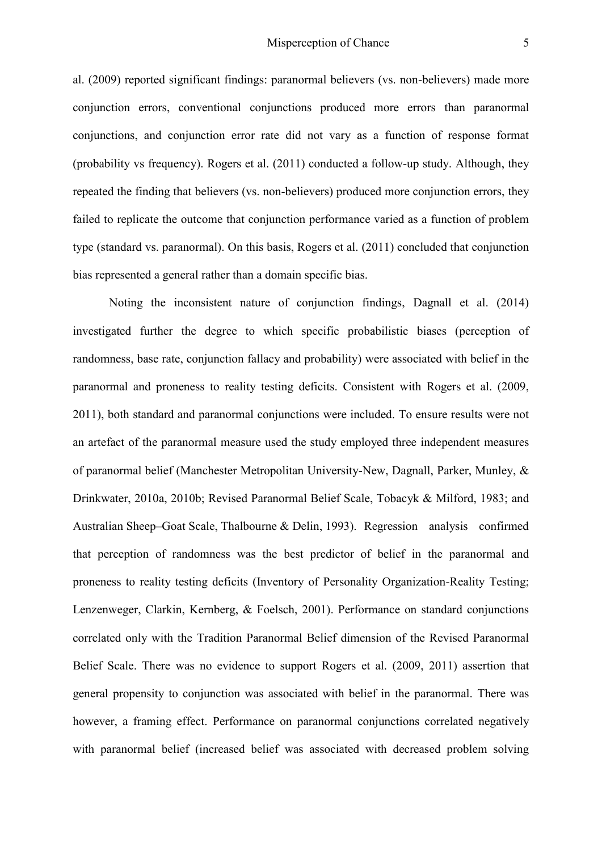al. (2009) reported significant findings: paranormal believers (vs. non-believers) made more conjunction errors, conventional conjunctions produced more errors than paranormal conjunctions, and conjunction error rate did not vary as a function of response format (probability vs frequency). Rogers et al. (2011) conducted a follow-up study. Although, they repeated the finding that believers (vs. non-believers) produced more conjunction errors, they failed to replicate the outcome that conjunction performance varied as a function of problem type (standard vs. paranormal). On this basis, Rogers et al. (2011) concluded that conjunction bias represented a general rather than a domain specific bias.

Noting the inconsistent nature of conjunction findings, Dagnall et al. (2014) investigated further the degree to which specific probabilistic biases (perception of randomness, base rate, conjunction fallacy and probability) were associated with belief in the paranormal and proneness to reality testing deficits. Consistent with Rogers et al. (2009, 2011), both standard and paranormal conjunctions were included. To ensure results were not an artefact of the paranormal measure used the study employed three independent measures of paranormal belief (Manchester Metropolitan University-New, Dagnall, Parker, Munley, & Drinkwater, 2010a, 2010b; Revised Paranormal Belief Scale, Tobacyk & Milford, 1983; and Australian Sheep–Goat Scale, Thalbourne & Delin, 1993). Regression analysis confirmed that perception of randomness was the best predictor of belief in the paranormal and proneness to reality testing deficits (Inventory of Personality Organization-Reality Testing; Lenzenweger, Clarkin, Kernberg, & Foelsch, 2001). Performance on standard conjunctions correlated only with the Tradition Paranormal Belief dimension of the Revised Paranormal Belief Scale. There was no evidence to support Rogers et al. (2009, 2011) assertion that general propensity to conjunction was associated with belief in the paranormal. There was however, a framing effect. Performance on paranormal conjunctions correlated negatively with paranormal belief (increased belief was associated with decreased problem solving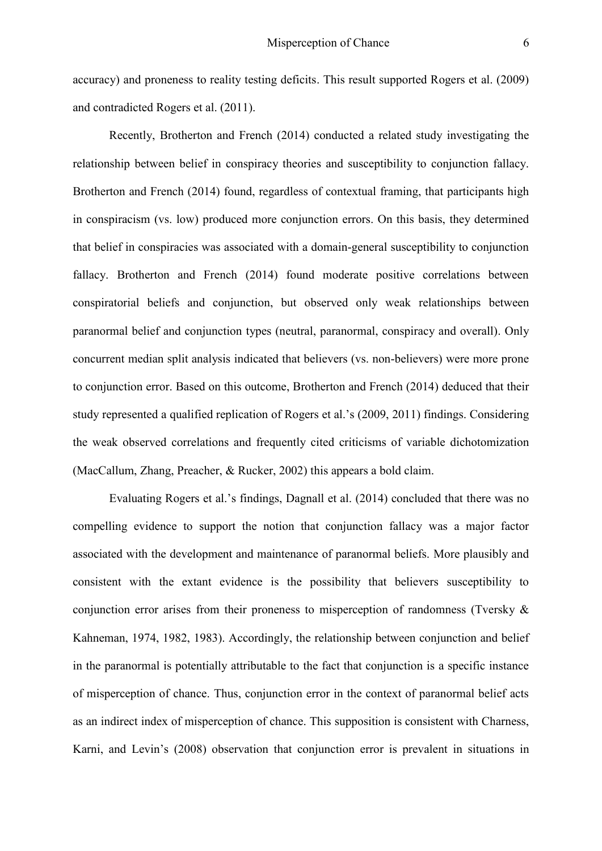accuracy) and proneness to reality testing deficits. This result supported Rogers et al. (2009) and contradicted Rogers et al. (2011).

Recently, Brotherton and French (2014) conducted a related study investigating the relationship between belief in conspiracy theories and susceptibility to conjunction fallacy. Brotherton and French (2014) found, regardless of contextual framing, that participants high in conspiracism (vs. low) produced more conjunction errors. On this basis, they determined that belief in conspiracies was associated with a domain-general susceptibility to conjunction fallacy. Brotherton and French (2014) found moderate positive correlations between conspiratorial beliefs and conjunction, but observed only weak relationships between paranormal belief and conjunction types (neutral, paranormal, conspiracy and overall). Only concurrent median split analysis indicated that believers (vs. non-believers) were more prone to conjunction error. Based on this outcome, Brotherton and French (2014) deduced that their study represented a qualified replication of Rogers et al.'s (2009, 2011) findings. Considering the weak observed correlations and frequently cited criticisms of variable dichotomization (MacCallum, Zhang, Preacher, & Rucker, 2002) this appears a bold claim.

Evaluating Rogers et al.'s findings, Dagnall et al. (2014) concluded that there was no compelling evidence to support the notion that conjunction fallacy was a major factor associated with the development and maintenance of paranormal beliefs. More plausibly and consistent with the extant evidence is the possibility that believers susceptibility to conjunction error arises from their proneness to misperception of randomness (Tversky & Kahneman, 1974, 1982, 1983). Accordingly, the relationship between conjunction and belief in the paranormal is potentially attributable to the fact that conjunction is a specific instance of misperception of chance. Thus, conjunction error in the context of paranormal belief acts as an indirect index of misperception of chance. This supposition is consistent with Charness, Karni, and Levin's (2008) observation that conjunction error is prevalent in situations in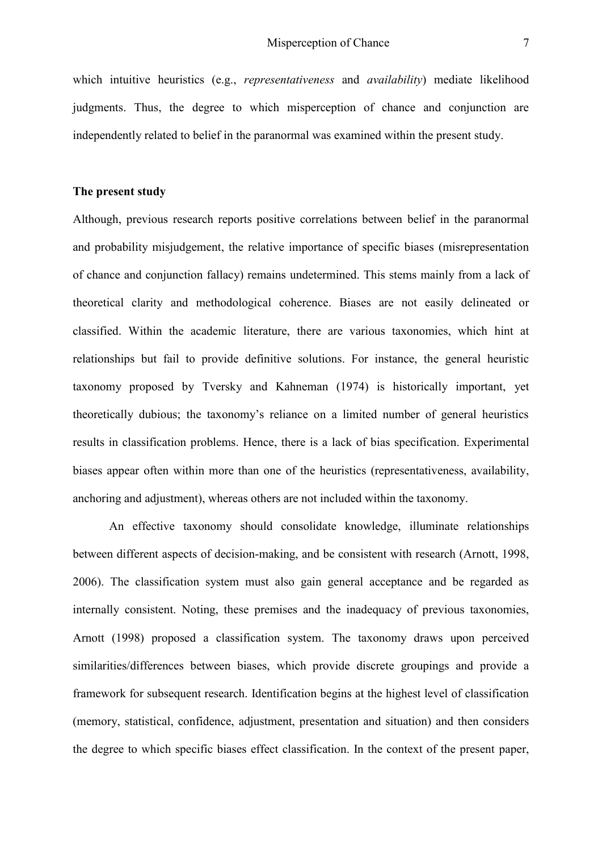which intuitive heuristics (e.g., *representativeness* and *availability*) mediate likelihood judgments. Thus, the degree to which misperception of chance and conjunction are independently related to belief in the paranormal was examined within the present study.

#### **The present study**

Although, previous research reports positive correlations between belief in the paranormal and probability misjudgement, the relative importance of specific biases (misrepresentation of chance and conjunction fallacy) remains undetermined. This stems mainly from a lack of theoretical clarity and methodological coherence. Biases are not easily delineated or classified. Within the academic literature, there are various taxonomies, which hint at relationships but fail to provide definitive solutions. For instance, the general heuristic taxonomy proposed by Tversky and Kahneman (1974) is historically important, yet theoretically dubious; the taxonomy's reliance on a limited number of general heuristics results in classification problems. Hence, there is a lack of bias specification. Experimental biases appear often within more than one of the heuristics (representativeness, availability, anchoring and adjustment), whereas others are not included within the taxonomy.

An effective taxonomy should consolidate knowledge, illuminate relationships between different aspects of decision-making, and be consistent with research (Arnott, 1998, 2006). The classification system must also gain general acceptance and be regarded as internally consistent. Noting, these premises and the inadequacy of previous taxonomies, Arnott (1998) proposed a classification system. The taxonomy draws upon perceived similarities/differences between biases, which provide discrete groupings and provide a framework for subsequent research. Identification begins at the highest level of classification (memory, statistical, confidence, adjustment, presentation and situation) and then considers the degree to which specific biases effect classification. In the context of the present paper,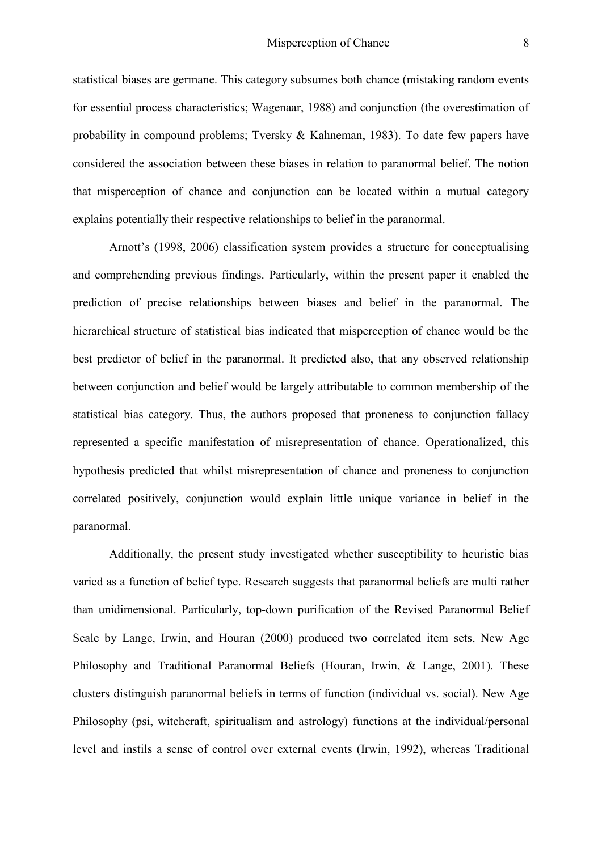statistical biases are germane. This category subsumes both chance (mistaking random events for essential process characteristics; Wagenaar, 1988) and conjunction (the overestimation of probability in compound problems; Tversky & Kahneman, 1983). To date few papers have considered the association between these biases in relation to paranormal belief. The notion that misperception of chance and conjunction can be located within a mutual category explains potentially their respective relationships to belief in the paranormal.

Arnott's (1998, 2006) classification system provides a structure for conceptualising and comprehending previous findings. Particularly, within the present paper it enabled the prediction of precise relationships between biases and belief in the paranormal. The hierarchical structure of statistical bias indicated that misperception of chance would be the best predictor of belief in the paranormal. It predicted also, that any observed relationship between conjunction and belief would be largely attributable to common membership of the statistical bias category. Thus, the authors proposed that proneness to conjunction fallacy represented a specific manifestation of misrepresentation of chance. Operationalized, this hypothesis predicted that whilst misrepresentation of chance and proneness to conjunction correlated positively, conjunction would explain little unique variance in belief in the paranormal.

Additionally, the present study investigated whether susceptibility to heuristic bias varied as a function of belief type. Research suggests that paranormal beliefs are multi rather than unidimensional. Particularly, top-down purification of the Revised Paranormal Belief Scale by Lange, Irwin, and Houran (2000) produced two correlated item sets, New Age Philosophy and Traditional Paranormal Beliefs (Houran, Irwin, & Lange, 2001). These clusters distinguish paranormal beliefs in terms of function (individual vs. social). New Age Philosophy (psi, witchcraft, spiritualism and astrology) functions at the individual/personal level and instils a sense of control over external events (Irwin, 1992), whereas Traditional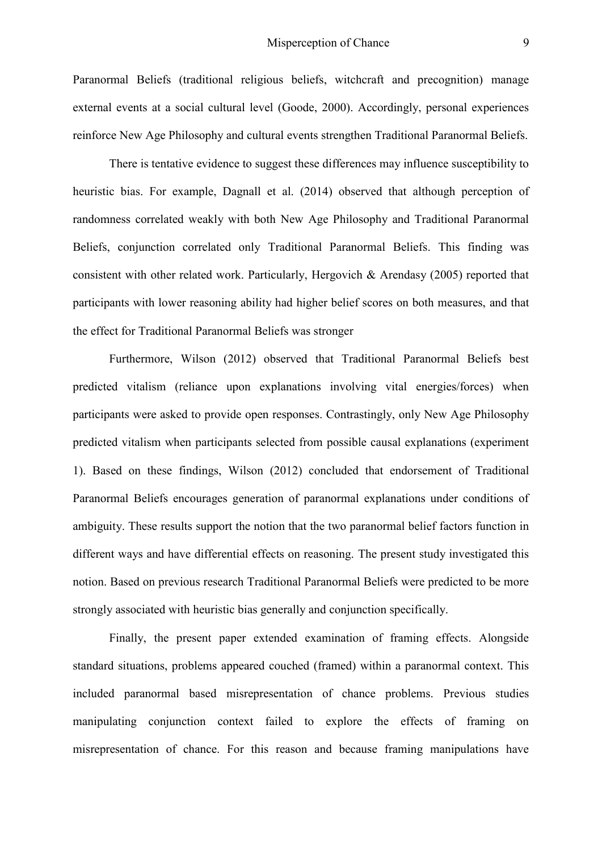Paranormal Beliefs (traditional religious beliefs, witchcraft and precognition) manage external events at a social cultural level (Goode, 2000). Accordingly, personal experiences reinforce New Age Philosophy and cultural events strengthen Traditional Paranormal Beliefs.

There is tentative evidence to suggest these differences may influence susceptibility to heuristic bias. For example, Dagnall et al. (2014) observed that although perception of randomness correlated weakly with both New Age Philosophy and Traditional Paranormal Beliefs, conjunction correlated only Traditional Paranormal Beliefs. This finding was consistent with other related work. Particularly, Hergovich & Arendasy (2005) reported that participants with lower reasoning ability had higher belief scores on both measures, and that the effect for Traditional Paranormal Beliefs was stronger

Furthermore, Wilson (2012) observed that Traditional Paranormal Beliefs best predicted vitalism (reliance upon explanations involving vital energies/forces) when participants were asked to provide open responses. Contrastingly, only New Age Philosophy predicted vitalism when participants selected from possible causal explanations (experiment 1). Based on these findings, Wilson (2012) concluded that endorsement of Traditional Paranormal Beliefs encourages generation of paranormal explanations under conditions of ambiguity. These results support the notion that the two paranormal belief factors function in different ways and have differential effects on reasoning. The present study investigated this notion. Based on previous research Traditional Paranormal Beliefs were predicted to be more strongly associated with heuristic bias generally and conjunction specifically.

Finally, the present paper extended examination of framing effects. Alongside standard situations, problems appeared couched (framed) within a paranormal context. This included paranormal based misrepresentation of chance problems. Previous studies manipulating conjunction context failed to explore the effects of framing on misrepresentation of chance. For this reason and because framing manipulations have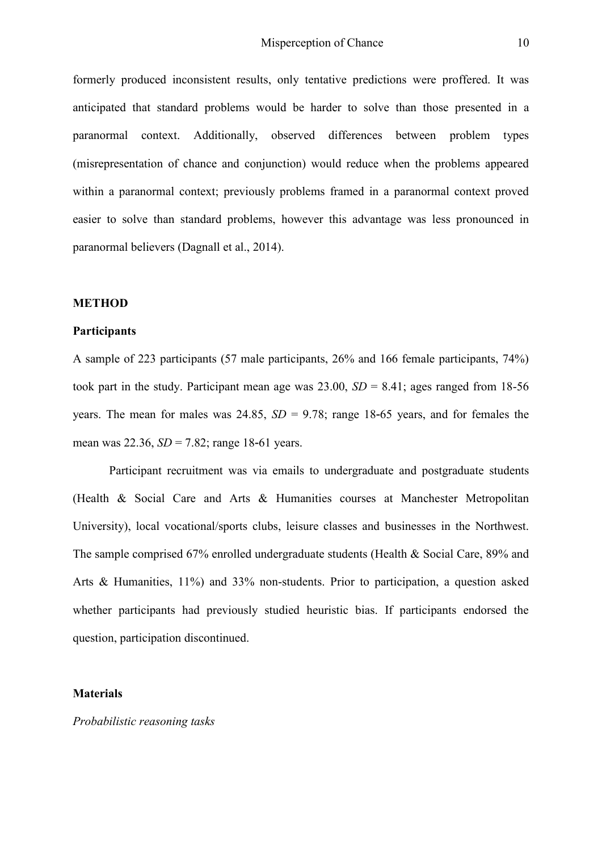formerly produced inconsistent results, only tentative predictions were proffered. It was anticipated that standard problems would be harder to solve than those presented in a paranormal context. Additionally, observed differences between problem types (misrepresentation of chance and conjunction) would reduce when the problems appeared within a paranormal context; previously problems framed in a paranormal context proved easier to solve than standard problems, however this advantage was less pronounced in paranormal believers (Dagnall et al., 2014).

#### **METHOD**

#### **Participants**

A sample of 223 participants (57 male participants, 26% and 166 female participants, 74%) took part in the study. Participant mean age was  $23.00$ ,  $SD = 8.41$ ; ages ranged from 18-56 years. The mean for males was 24.85,  $SD = 9.78$ ; range 18-65 years, and for females the mean was 22.36, *SD* = 7.82; range 18-61 years.

Participant recruitment was via emails to undergraduate and postgraduate students (Health & Social Care and Arts & Humanities courses at Manchester Metropolitan University), local vocational/sports clubs, leisure classes and businesses in the Northwest. The sample comprised 67% enrolled undergraduate students (Health & Social Care, 89% and Arts & Humanities, 11%) and 33% non-students. Prior to participation, a question asked whether participants had previously studied heuristic bias. If participants endorsed the question, participation discontinued.

# **Materials**

*Probabilistic reasoning tasks*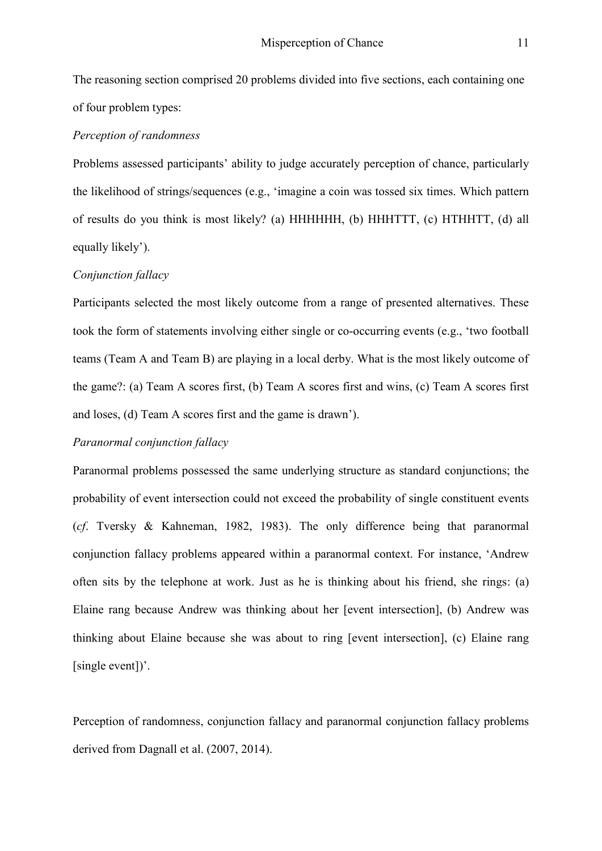The reasoning section comprised 20 problems divided into five sections, each containing one of four problem types:

### *Perception of randomness*

Problems assessed participants' ability to judge accurately perception of chance, particularly the likelihood of strings/sequences (e.g., 'imagine a coin was tossed six times. Which pattern of results do you think is most likely? (a) HHHHHH, (b) HHHTTT, (c) HTHHTT, (d) all equally likely').

#### *Conjunction fallacy*

Participants selected the most likely outcome from a range of presented alternatives. These took the form of statements involving either single or co-occurring events (e.g., 'two football teams (Team A and Team B) are playing in a local derby. What is the most likely outcome of the game?: (a) Team A scores first, (b) Team A scores first and wins, (c) Team A scores first and loses, (d) Team A scores first and the game is drawn').

#### *Paranormal conjunction fallacy*

Paranormal problems possessed the same underlying structure as standard conjunctions; the probability of event intersection could not exceed the probability of single constituent events (*cf*. Tversky & Kahneman, 1982, 1983). The only difference being that paranormal conjunction fallacy problems appeared within a paranormal context. For instance, 'Andrew often sits by the telephone at work. Just as he is thinking about his friend, she rings: (a) Elaine rang because Andrew was thinking about her [event intersection], (b) Andrew was thinking about Elaine because she was about to ring [event intersection], (c) Elaine rang [single event])'.

Perception of randomness, conjunction fallacy and paranormal conjunction fallacy problems derived from Dagnall et al. (2007, 2014).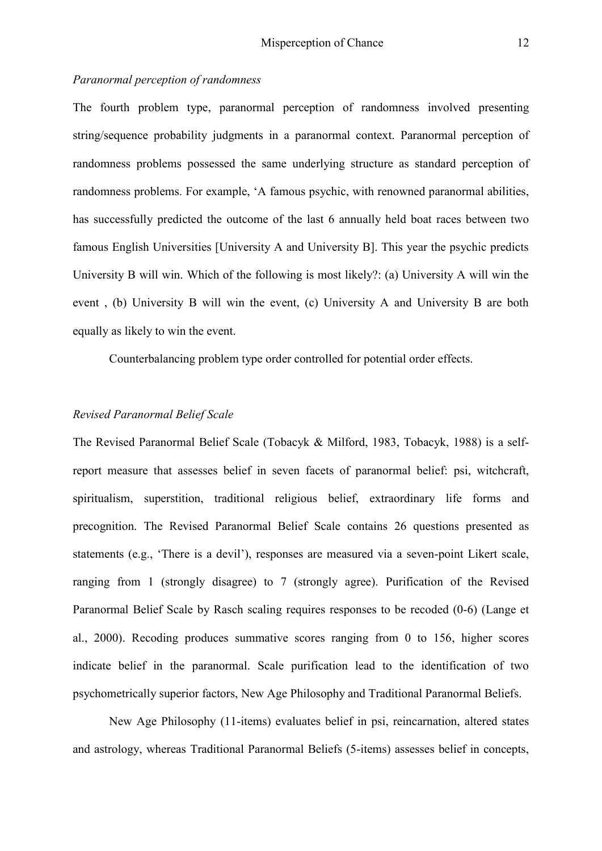#### *Paranormal perception of randomness*

The fourth problem type, paranormal perception of randomness involved presenting string/sequence probability judgments in a paranormal context. Paranormal perception of randomness problems possessed the same underlying structure as standard perception of randomness problems. For example, 'A famous psychic, with renowned paranormal abilities, has successfully predicted the outcome of the last 6 annually held boat races between two famous English Universities [University A and University B]. This year the psychic predicts University B will win. Which of the following is most likely?: (a) University A will win the event , (b) University B will win the event, (c) University A and University B are both equally as likely to win the event.

Counterbalancing problem type order controlled for potential order effects.

# *Revised Paranormal Belief Scale*

The Revised Paranormal Belief Scale (Tobacyk & Milford, 1983, Tobacyk, 1988) is a selfreport measure that assesses belief in seven facets of paranormal belief: psi, witchcraft, spiritualism, superstition, traditional religious belief, extraordinary life forms and precognition. The Revised Paranormal Belief Scale contains 26 questions presented as statements (e.g., 'There is a devil'), responses are measured via a seven-point Likert scale, ranging from 1 (strongly disagree) to 7 (strongly agree). Purification of the Revised Paranormal Belief Scale by Rasch scaling requires responses to be recoded (0-6) (Lange et al., 2000). Recoding produces summative scores ranging from 0 to 156, higher scores indicate belief in the paranormal. Scale purification lead to the identification of two psychometrically superior factors, New Age Philosophy and Traditional Paranormal Beliefs.

New Age Philosophy (11-items) evaluates belief in psi, reincarnation, altered states and astrology, whereas Traditional Paranormal Beliefs (5-items) assesses belief in concepts,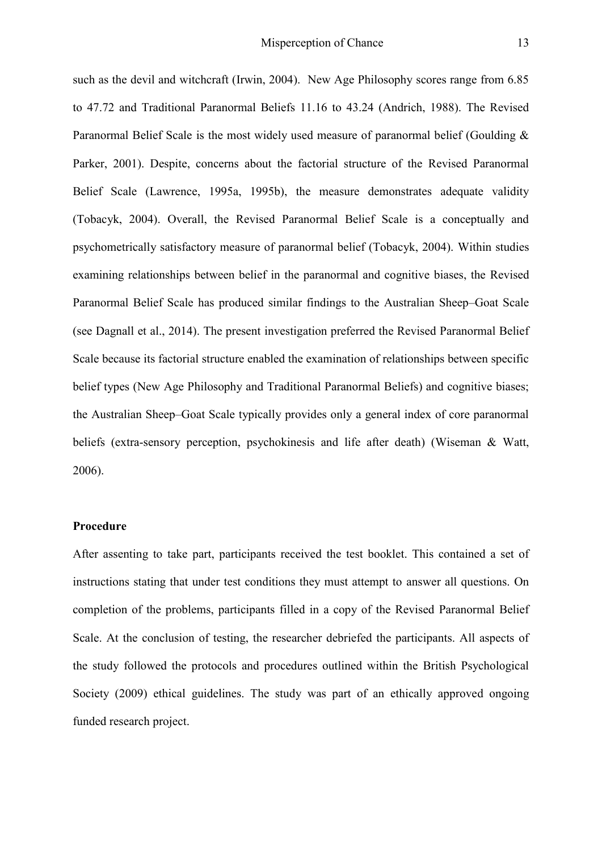such as the devil and witchcraft (Irwin, 2004). New Age Philosophy scores range from 6.85 to 47.72 and Traditional Paranormal Beliefs 11.16 to 43.24 (Andrich, 1988). The Revised Paranormal Belief Scale is the most widely used measure of paranormal belief (Goulding  $\&$ Parker, 2001). Despite, concerns about the factorial structure of the Revised Paranormal Belief Scale (Lawrence, 1995a, 1995b), the measure demonstrates adequate validity (Tobacyk, 2004). Overall, the Revised Paranormal Belief Scale is a conceptually and psychometrically satisfactory measure of paranormal belief (Tobacyk, 2004). Within studies examining relationships between belief in the paranormal and cognitive biases, the Revised Paranormal Belief Scale has produced similar findings to the Australian Sheep–Goat Scale (see Dagnall et al., 2014). The present investigation preferred the Revised Paranormal Belief Scale because its factorial structure enabled the examination of relationships between specific belief types (New Age Philosophy and Traditional Paranormal Beliefs) and cognitive biases; the Australian Sheep–Goat Scale typically provides only a general index of core paranormal beliefs (extra-sensory perception, psychokinesis and life after death) (Wiseman & Watt, 2006).

# **Procedure**

After assenting to take part, participants received the test booklet. This contained a set of instructions stating that under test conditions they must attempt to answer all questions. On completion of the problems, participants filled in a copy of the Revised Paranormal Belief Scale. At the conclusion of testing, the researcher debriefed the participants. All aspects of the study followed the protocols and procedures outlined within the British Psychological Society (2009) ethical guidelines. The study was part of an ethically approved ongoing funded research project.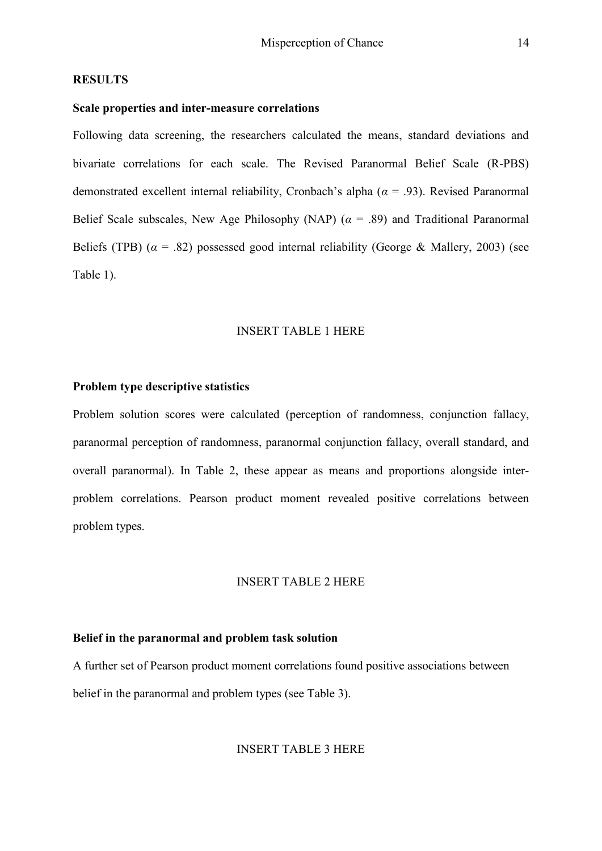#### **RESULTS**

## **Scale properties and inter-measure correlations**

Following data screening, the researchers calculated the means, standard deviations and bivariate correlations for each scale. The Revised Paranormal Belief Scale (R-PBS) demonstrated excellent internal reliability, Cronbach's alpha (*α* = .93). Revised Paranormal Belief Scale subscales, New Age Philosophy (NAP)  $(a = .89)$  and Traditional Paranormal Beliefs (TPB)  $(a = .82)$  possessed good internal reliability (George & Mallery, 2003) (see Table 1).

#### INSERT TABLE 1 HERE

# **Problem type descriptive statistics**

Problem solution scores were calculated (perception of randomness, conjunction fallacy, paranormal perception of randomness, paranormal conjunction fallacy, overall standard, and overall paranormal). In Table 2, these appear as means and proportions alongside interproblem correlations. Pearson product moment revealed positive correlations between problem types.

### INSERT TABLE 2 HERE

### **Belief in the paranormal and problem task solution**

A further set of Pearson product moment correlations found positive associations between belief in the paranormal and problem types (see Table 3).

#### INSERT TABLE 3 HERE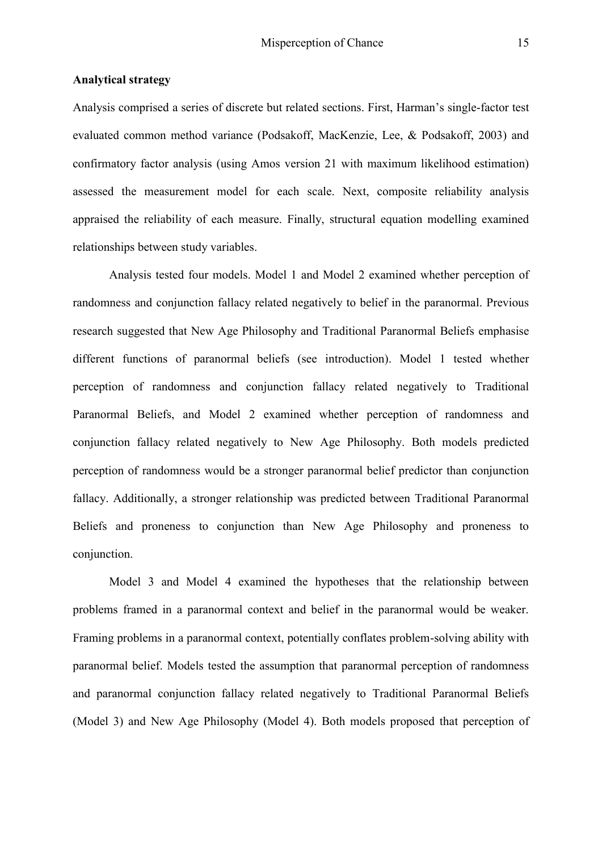# **Analytical strategy**

Analysis comprised a series of discrete but related sections. First, Harman's single-factor test evaluated common method variance (Podsakoff, MacKenzie, Lee, & Podsakoff, 2003) and confirmatory factor analysis (using Amos version 21 with maximum likelihood estimation) assessed the measurement model for each scale. Next, composite reliability analysis appraised the reliability of each measure. Finally, structural equation modelling examined relationships between study variables.

Analysis tested four models. Model 1 and Model 2 examined whether perception of randomness and conjunction fallacy related negatively to belief in the paranormal. Previous research suggested that New Age Philosophy and Traditional Paranormal Beliefs emphasise different functions of paranormal beliefs (see introduction). Model 1 tested whether perception of randomness and conjunction fallacy related negatively to Traditional Paranormal Beliefs, and Model 2 examined whether perception of randomness and conjunction fallacy related negatively to New Age Philosophy. Both models predicted perception of randomness would be a stronger paranormal belief predictor than conjunction fallacy. Additionally, a stronger relationship was predicted between Traditional Paranormal Beliefs and proneness to conjunction than New Age Philosophy and proneness to conjunction.

Model 3 and Model 4 examined the hypotheses that the relationship between problems framed in a paranormal context and belief in the paranormal would be weaker. Framing problems in a paranormal context, potentially conflates problem-solving ability with paranormal belief. Models tested the assumption that paranormal perception of randomness and paranormal conjunction fallacy related negatively to Traditional Paranormal Beliefs (Model 3) and New Age Philosophy (Model 4). Both models proposed that perception of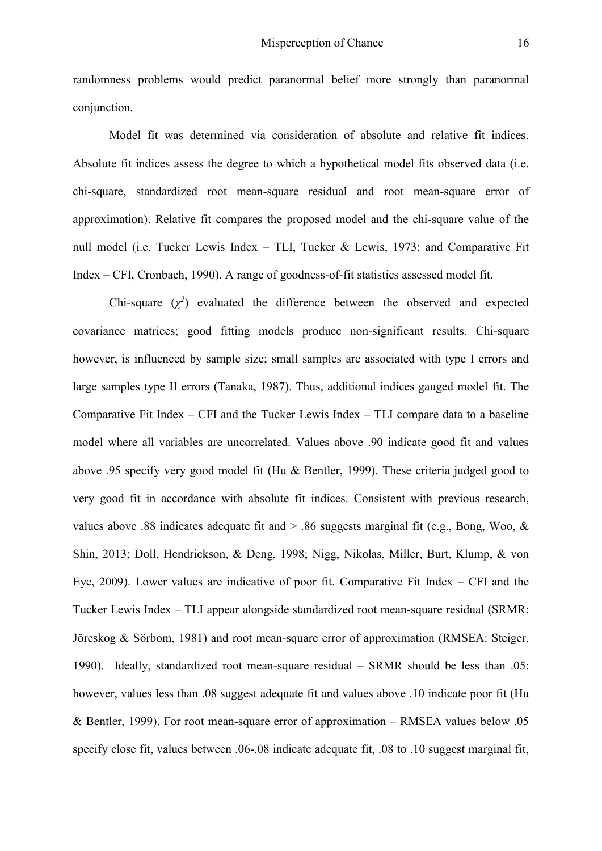randomness problems would predict paranormal belief more strongly than paranormal conjunction.

Model fit was determined via consideration of absolute and relative fit indices. Absolute fit indices assess the degree to which a hypothetical model fits observed data (i.e. chi-square, standardized root mean-square residual and root mean-square error of approximation). Relative fit compares the proposed model and the chi-square value of the null model (i.e. Tucker Lewis Index – TLI, Tucker & Lewis, 1973; and Comparative Fit Index – CFI, Cronbach, 1990). A range of goodness-of-fit statistics assessed model fit.

Chi-square  $(\chi^2)$  evaluated the difference between the observed and expected covariance matrices; good fitting models produce non-significant results. Chi-square however, is influenced by sample size; small samples are associated with type I errors and large samples type II errors (Tanaka, 1987). Thus, additional indices gauged model fit. The Comparative Fit Index – CFI and the Tucker Lewis Index – TLI compare data to a baseline model where all variables are uncorrelated. Values above .90 indicate good fit and values above .95 specify very good model fit (Hu & Bentler, 1999). These criteria judged good to very good fit in accordance with absolute fit indices. Consistent with previous research, values above .88 indicates adequate fit and > .86 suggests marginal fit (e.g., Bong, Woo, & Shin, 2013; Doll, Hendrickson, & Deng, 1998; Nigg, Nikolas, Miller, Burt, Klump, & von Eye, 2009). Lower values are indicative of poor fit. Comparative Fit Index – CFI and the Tucker Lewis Index – TLI appear alongside standardized root mean-square residual (SRMR: Jöreskog & Sörbom, 1981) and root mean-square error of approximation (RMSEA: Steiger, 1990). Ideally, standardized root mean-square residual – SRMR should be less than .05; however, values less than .08 suggest adequate fit and values above .10 indicate poor fit (Hu & Bentler, 1999). For root mean-square error of approximation – RMSEA values below .05 specify close fit, values between .06-.08 indicate adequate fit, .08 to .10 suggest marginal fit,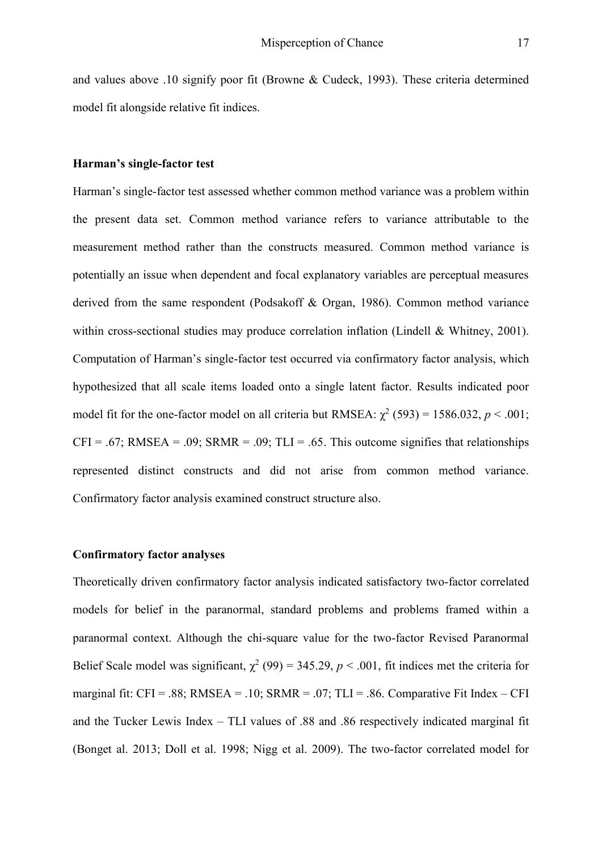and values above .10 signify poor fit (Browne & Cudeck, 1993). These criteria determined model fit alongside relative fit indices.

# **Harman's single-factor test**

Harman's single-factor test assessed whether common method variance was a problem within the present data set. Common method variance refers to variance attributable to the measurement method rather than the constructs measured. Common method variance is potentially an issue when dependent and focal explanatory variables are perceptual measures derived from the same respondent (Podsakoff & Organ, 1986). Common method variance within cross-sectional studies may produce correlation inflation (Lindell & Whitney, 2001). Computation of Harman's single-factor test occurred via confirmatory factor analysis, which hypothesized that all scale items loaded onto a single latent factor. Results indicated poor model fit for the one-factor model on all criteria but RMSEA:  $\chi^2$  (593) = 1586.032, *p* < .001;  $CFI = .67$ ; RMSEA = .09; SRMR = .09; TLI = .65. This outcome signifies that relationships represented distinct constructs and did not arise from common method variance. Confirmatory factor analysis examined construct structure also.

# **Confirmatory factor analyses**

Theoretically driven confirmatory factor analysis indicated satisfactory two-factor correlated models for belief in the paranormal, standard problems and problems framed within a paranormal context. Although the chi-square value for the two-factor Revised Paranormal Belief Scale model was significant,  $\chi^2$  (99) = 345.29, *p* < .001, fit indices met the criteria for marginal fit:  $CFI = .88$ ; RMSEA = .10; SRMR = .07; TLI = .86. Comparative Fit Index – CFI and the Tucker Lewis Index – TLI values of .88 and .86 respectively indicated marginal fit (Bonget al. 2013; Doll et al. 1998; Nigg et al. 2009). The two-factor correlated model for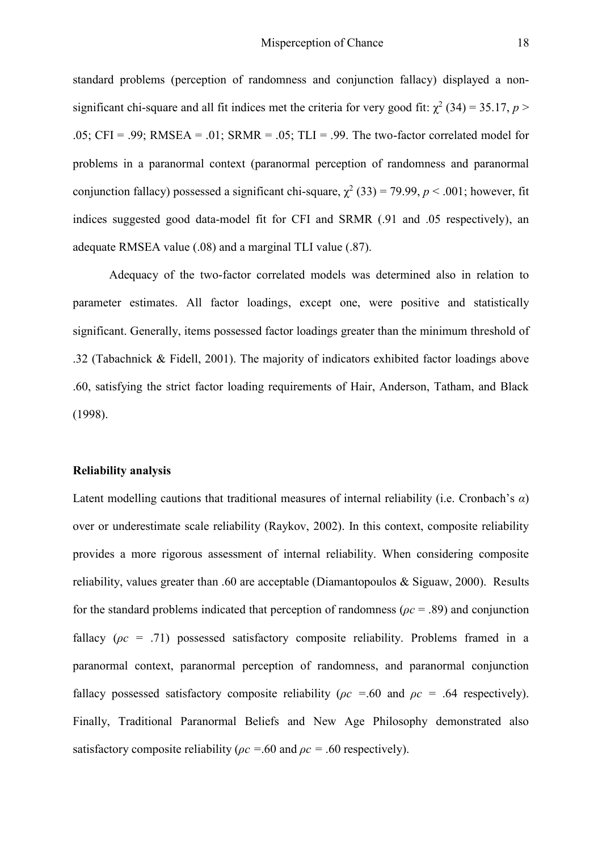standard problems (perception of randomness and conjunction fallacy) displayed a nonsignificant chi-square and all fit indices met the criteria for very good fit:  $\chi^2$  (34) = 35.17, *p* > .05; CFI = .99; RMSEA = .01; SRMR = .05; TLI = .99. The two-factor correlated model for problems in a paranormal context (paranormal perception of randomness and paranormal conjunction fallacy) possessed a significant chi-square,  $\chi^2$  (33) = 79.99, *p* < .001; however, fit indices suggested good data-model fit for CFI and SRMR (.91 and .05 respectively), an adequate RMSEA value (.08) and a marginal TLI value (.87).

Adequacy of the two-factor correlated models was determined also in relation to parameter estimates. All factor loadings, except one, were positive and statistically significant. Generally, items possessed factor loadings greater than the minimum threshold of .32 (Tabachnick & Fidell, 2001). The majority of indicators exhibited factor loadings above .60, satisfying the strict factor loading requirements of Hair, Anderson, Tatham, and Black (1998).

#### **Reliability analysis**

Latent modelling cautions that traditional measures of internal reliability (i.e. Cronbach's *α*) over or underestimate scale reliability (Raykov, 2002). In this context, composite reliability provides a more rigorous assessment of internal reliability. When considering composite reliability, values greater than .60 are acceptable (Diamantopoulos & Siguaw, 2000). Results for the standard problems indicated that perception of randomness (*ρc* = .89) and conjunction fallacy (*ρc* = .71) possessed satisfactory composite reliability. Problems framed in a paranormal context, paranormal perception of randomness, and paranormal conjunction fallacy possessed satisfactory composite reliability (*ρc =*.60 and *ρc =* .64 respectively). Finally, Traditional Paranormal Beliefs and New Age Philosophy demonstrated also satisfactory composite reliability ( $\rho c = 60$  and  $\rho c = 60$  respectively).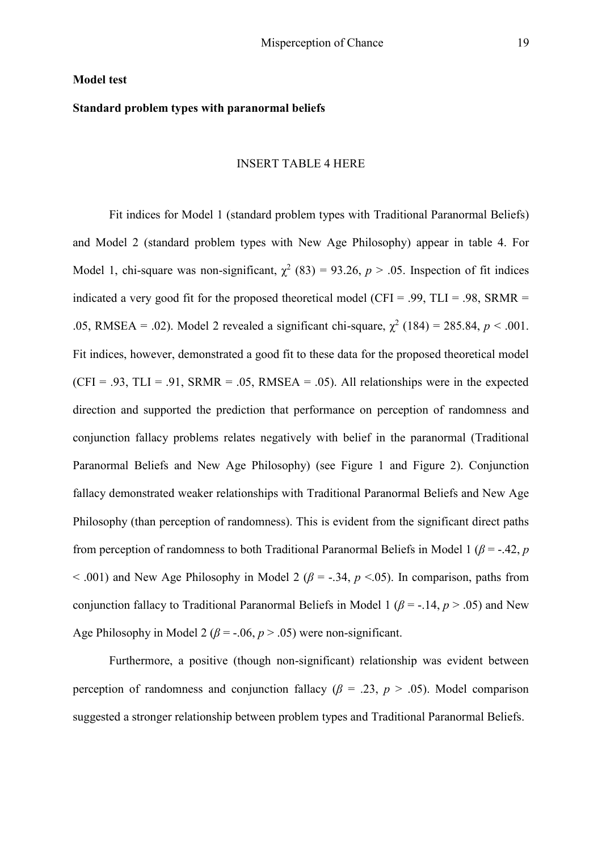#### **Model test**

# **Standard problem types with paranormal beliefs**

#### INSERT TABLE 4 HERE

Fit indices for Model 1 (standard problem types with Traditional Paranormal Beliefs) and Model 2 (standard problem types with New Age Philosophy) appear in table 4. For Model 1, chi-square was non-significant,  $\chi^2$  (83) = 93.26, *p* > .05. Inspection of fit indices indicated a very good fit for the proposed theoretical model (CFI = .99, TLI = .98, SRMR = .05, RMSEA = .02). Model 2 revealed a significant chi-square,  $\chi^2$  (184) = 285.84,  $p < .001$ . Fit indices, however, demonstrated a good fit to these data for the proposed theoretical model  $(CFI = .93, TLI = .91, SRMR = .05, RMSEA = .05)$ . All relationships were in the expected direction and supported the prediction that performance on perception of randomness and conjunction fallacy problems relates negatively with belief in the paranormal (Traditional Paranormal Beliefs and New Age Philosophy) (see Figure 1 and Figure 2). Conjunction fallacy demonstrated weaker relationships with Traditional Paranormal Beliefs and New Age Philosophy (than perception of randomness). This is evident from the significant direct paths from perception of randomness to both Traditional Paranormal Beliefs in Model 1 ( $\beta$  = -.42,  $p$ )  $<$  0.01) and New Age Philosophy in Model 2 ( $\beta$  = -.34,  $p$  < 0.05). In comparison, paths from conjunction fallacy to Traditional Paranormal Beliefs in Model 1 ( $\beta$  = -.14,  $p > .05$ ) and New Age Philosophy in Model 2 ( $\beta$  = -.06,  $p$  > .05) were non-significant.

Furthermore, a positive (though non-significant) relationship was evident between perception of randomness and conjunction fallacy ( $\beta$  = .23,  $p$  > .05). Model comparison suggested a stronger relationship between problem types and Traditional Paranormal Beliefs.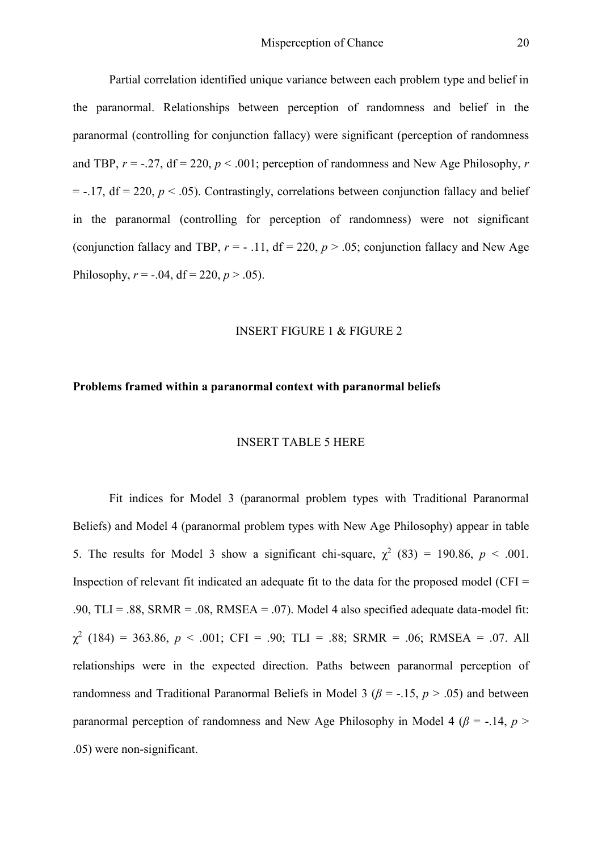Partial correlation identified unique variance between each problem type and belief in the paranormal. Relationships between perception of randomness and belief in the paranormal (controlling for conjunction fallacy) were significant (perception of randomness and TBP,  $r = -0.27$ , df = 220,  $p < 0.001$ ; perception of randomness and New Age Philosophy, r  $= -.17$ , df  $= 220$ ,  $p < .05$ ). Contrastingly, correlations between conjunction fallacy and belief in the paranormal (controlling for perception of randomness) were not significant (conjunction fallacy and TBP,  $r = -0.11$ , df = 220,  $p > 0.05$ ; conjunction fallacy and New Age Philosophy,  $r = -.04$ , df = 220,  $p > .05$ ).

#### INSERT FIGURE 1 & FIGURE 2

#### **Problems framed within a paranormal context with paranormal beliefs**

#### INSERT TABLE 5 HERE

Fit indices for Model 3 (paranormal problem types with Traditional Paranormal Beliefs) and Model 4 (paranormal problem types with New Age Philosophy) appear in table 5. The results for Model 3 show a significant chi-square,  $\chi^2$  (83) = 190.86,  $p < .001$ . Inspection of relevant fit indicated an adequate fit to the data for the proposed model (CFI  $=$ .90, TLI = .88, SRMR = .08, RMSEA = .07). Model 4 also specified adequate data-model fit:  $\chi^2$  (184) = 363.86, *p* < .001; CFI = .90; TLI = .88; SRMR = .06; RMSEA = .07. All relationships were in the expected direction. Paths between paranormal perception of randomness and Traditional Paranormal Beliefs in Model 3 ( $\beta$  = -.15,  $p > .05$ ) and between paranormal perception of randomness and New Age Philosophy in Model 4 ( $\beta$  = -.14,  $p$ ) .05) were non-significant.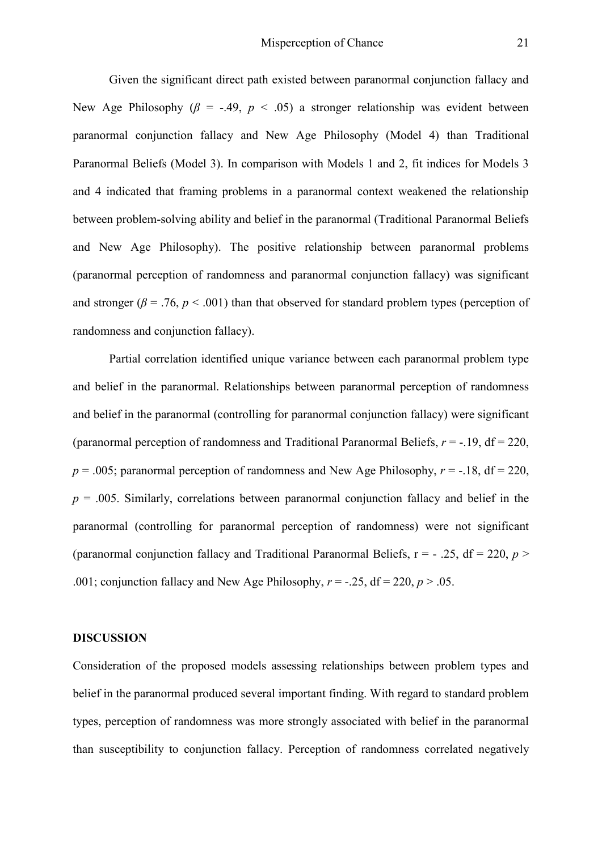Given the significant direct path existed between paranormal conjunction fallacy and New Age Philosophy ( $\beta$  = -.49,  $p < .05$ ) a stronger relationship was evident between paranormal conjunction fallacy and New Age Philosophy (Model 4) than Traditional Paranormal Beliefs (Model 3). In comparison with Models 1 and 2, fit indices for Models 3 and 4 indicated that framing problems in a paranormal context weakened the relationship between problem-solving ability and belief in the paranormal (Traditional Paranormal Beliefs and New Age Philosophy). The positive relationship between paranormal problems (paranormal perception of randomness and paranormal conjunction fallacy) was significant and stronger ( $\beta$  = .76,  $p$  < .001) than that observed for standard problem types (perception of randomness and conjunction fallacy).

Partial correlation identified unique variance between each paranormal problem type and belief in the paranormal. Relationships between paranormal perception of randomness and belief in the paranormal (controlling for paranormal conjunction fallacy) were significant (paranormal perception of randomness and Traditional Paranormal Beliefs, *r* = -.19, df = 220,  $p = 0.005$ ; paranormal perception of randomness and New Age Philosophy,  $r = -18$ , df = 220,  $p = 0.005$ . Similarly, correlations between paranormal conjunction fallacy and belief in the paranormal (controlling for paranormal perception of randomness) were not significant (paranormal conjunction fallacy and Traditional Paranormal Beliefs,  $r = -0.25$ ,  $df = 220$ ,  $p > 0$ .001; conjunction fallacy and New Age Philosophy,  $r = -0.25$ , df = 220,  $p > 0.05$ .

### **DISCUSSION**

Consideration of the proposed models assessing relationships between problem types and belief in the paranormal produced several important finding. With regard to standard problem types, perception of randomness was more strongly associated with belief in the paranormal than susceptibility to conjunction fallacy. Perception of randomness correlated negatively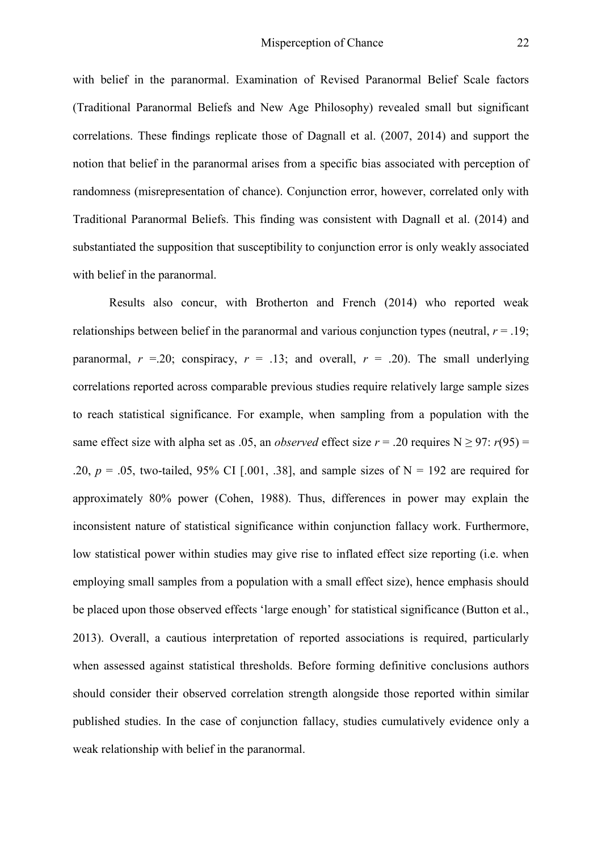with belief in the paranormal. Examination of Revised Paranormal Belief Scale factors (Traditional Paranormal Beliefs and New Age Philosophy) revealed small but significant correlations. These findings replicate those of Dagnall et al. (2007, 2014) and support the notion that belief in the paranormal arises from a specific bias associated with perception of randomness (misrepresentation of chance). Conjunction error, however, correlated only with Traditional Paranormal Beliefs. This finding was consistent with Dagnall et al. (2014) and substantiated the supposition that susceptibility to conjunction error is only weakly associated with belief in the paranormal.

Results also concur, with Brotherton and French (2014) who reported weak relationships between belief in the paranormal and various conjunction types (neutral,  $r = .19$ ; paranormal,  $r = 0.20$ ; conspiracy,  $r = 0.13$ ; and overall,  $r = 0.20$ . The small underlying correlations reported across comparable previous studies require relatively large sample sizes to reach statistical significance. For example, when sampling from a population with the same effect size with alpha set as .05, an *observed* effect size  $r = .20$  requires N  $\ge$  97:  $r(95) =$ .20,  $p = 0.05$ , two-tailed, 95% CI [.001, .38], and sample sizes of N = 192 are required for approximately 80% power (Cohen, 1988). Thus, differences in power may explain the inconsistent nature of statistical significance within conjunction fallacy work. Furthermore, low statistical power within studies may give rise to inflated effect size reporting (i.e. when employing small samples from a population with a small effect size), hence emphasis should be placed upon those observed effects 'large enough' for statistical significance (Button et al., 2013). Overall, a cautious interpretation of reported associations is required, particularly when assessed against statistical thresholds. Before forming definitive conclusions authors should consider their observed correlation strength alongside those reported within similar published studies. In the case of conjunction fallacy, studies cumulatively evidence only a weak relationship with belief in the paranormal.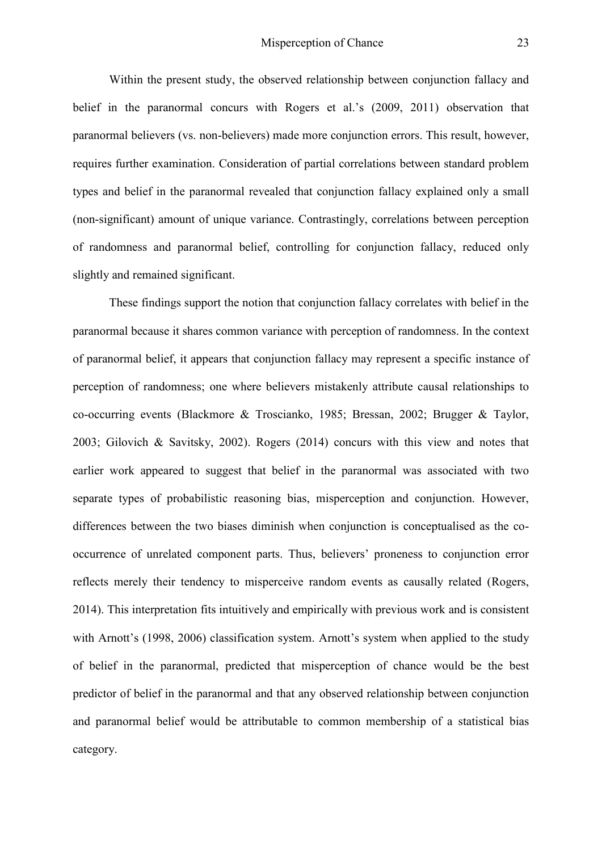Within the present study, the observed relationship between conjunction fallacy and belief in the paranormal concurs with Rogers et al.'s (2009, 2011) observation that paranormal believers (vs. non-believers) made more conjunction errors. This result, however, requires further examination. Consideration of partial correlations between standard problem types and belief in the paranormal revealed that conjunction fallacy explained only a small (non-significant) amount of unique variance. Contrastingly, correlations between perception of randomness and paranormal belief, controlling for conjunction fallacy, reduced only slightly and remained significant.

These findings support the notion that conjunction fallacy correlates with belief in the paranormal because it shares common variance with perception of randomness. In the context of paranormal belief, it appears that conjunction fallacy may represent a specific instance of perception of randomness; one where believers mistakenly attribute causal relationships to co-occurring events (Blackmore & Troscianko, 1985; Bressan, 2002; Brugger & Taylor, 2003; Gilovich & Savitsky, 2002). Rogers (2014) concurs with this view and notes that earlier work appeared to suggest that belief in the paranormal was associated with two separate types of probabilistic reasoning bias, misperception and conjunction. However, differences between the two biases diminish when conjunction is conceptualised as the cooccurrence of unrelated component parts. Thus, believers' proneness to conjunction error reflects merely their tendency to misperceive random events as causally related (Rogers, 2014). This interpretation fits intuitively and empirically with previous work and is consistent with Arnott's (1998, 2006) classification system. Arnott's system when applied to the study of belief in the paranormal, predicted that misperception of chance would be the best predictor of belief in the paranormal and that any observed relationship between conjunction and paranormal belief would be attributable to common membership of a statistical bias category.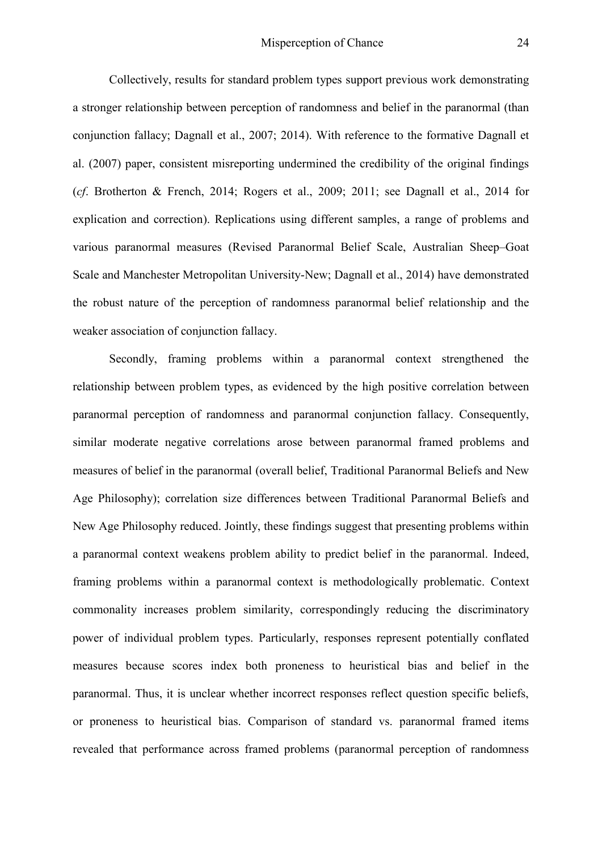Collectively, results for standard problem types support previous work demonstrating a stronger relationship between perception of randomness and belief in the paranormal (than conjunction fallacy; Dagnall et al., 2007; 2014). With reference to the formative Dagnall et al. (2007) paper, consistent misreporting undermined the credibility of the original findings (*cf*. Brotherton & French, 2014; Rogers et al., 2009; 2011; see Dagnall et al., 2014 for explication and correction). Replications using different samples, a range of problems and various paranormal measures (Revised Paranormal Belief Scale, Australian Sheep–Goat Scale and Manchester Metropolitan University-New; Dagnall et al., 2014) have demonstrated the robust nature of the perception of randomness paranormal belief relationship and the weaker association of conjunction fallacy.

Secondly, framing problems within a paranormal context strengthened the relationship between problem types, as evidenced by the high positive correlation between paranormal perception of randomness and paranormal conjunction fallacy. Consequently, similar moderate negative correlations arose between paranormal framed problems and measures of belief in the paranormal (overall belief, Traditional Paranormal Beliefs and New Age Philosophy); correlation size differences between Traditional Paranormal Beliefs and New Age Philosophy reduced. Jointly, these findings suggest that presenting problems within a paranormal context weakens problem ability to predict belief in the paranormal. Indeed, framing problems within a paranormal context is methodologically problematic. Context commonality increases problem similarity, correspondingly reducing the discriminatory power of individual problem types. Particularly, responses represent potentially conflated measures because scores index both proneness to heuristical bias and belief in the paranormal. Thus, it is unclear whether incorrect responses reflect question specific beliefs, or proneness to heuristical bias. Comparison of standard vs. paranormal framed items revealed that performance across framed problems (paranormal perception of randomness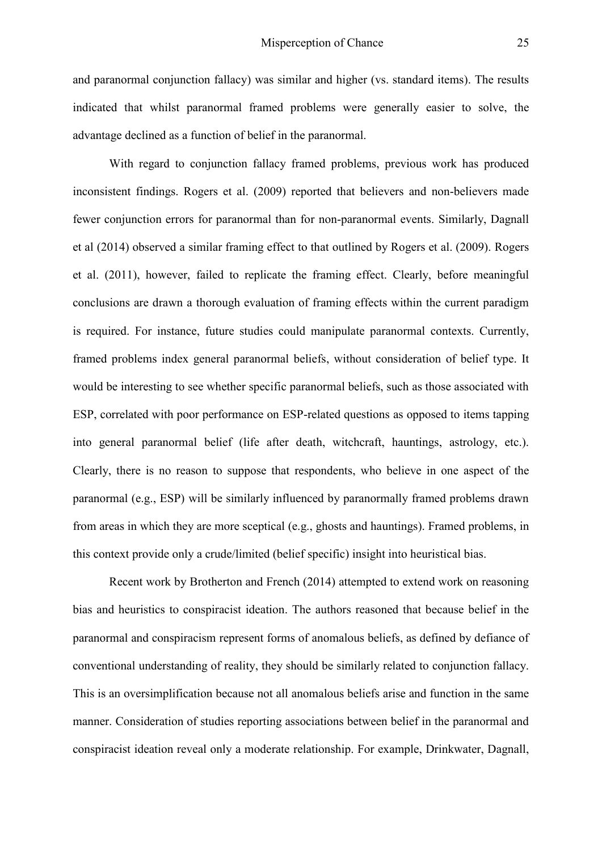and paranormal conjunction fallacy) was similar and higher (vs. standard items). The results indicated that whilst paranormal framed problems were generally easier to solve, the advantage declined as a function of belief in the paranormal.

With regard to conjunction fallacy framed problems, previous work has produced inconsistent findings. Rogers et al. (2009) reported that believers and non-believers made fewer conjunction errors for paranormal than for non-paranormal events. Similarly, Dagnall et al (2014) observed a similar framing effect to that outlined by Rogers et al. (2009). Rogers et al. (2011), however, failed to replicate the framing effect. Clearly, before meaningful conclusions are drawn a thorough evaluation of framing effects within the current paradigm is required. For instance, future studies could manipulate paranormal contexts. Currently, framed problems index general paranormal beliefs, without consideration of belief type. It would be interesting to see whether specific paranormal beliefs, such as those associated with ESP, correlated with poor performance on ESP-related questions as opposed to items tapping into general paranormal belief (life after death, witchcraft, hauntings, astrology, etc.). Clearly, there is no reason to suppose that respondents, who believe in one aspect of the paranormal (e.g., ESP) will be similarly influenced by paranormally framed problems drawn from areas in which they are more sceptical (e.g., ghosts and hauntings). Framed problems, in this context provide only a crude/limited (belief specific) insight into heuristical bias.

Recent work by Brotherton and French (2014) attempted to extend work on reasoning bias and heuristics to conspiracist ideation. The authors reasoned that because belief in the paranormal and conspiracism represent forms of anomalous beliefs, as defined by defiance of conventional understanding of reality, they should be similarly related to conjunction fallacy. This is an oversimplification because not all anomalous beliefs arise and function in the same manner. Consideration of studies reporting associations between belief in the paranormal and conspiracist ideation reveal only a moderate relationship. For example, Drinkwater, Dagnall,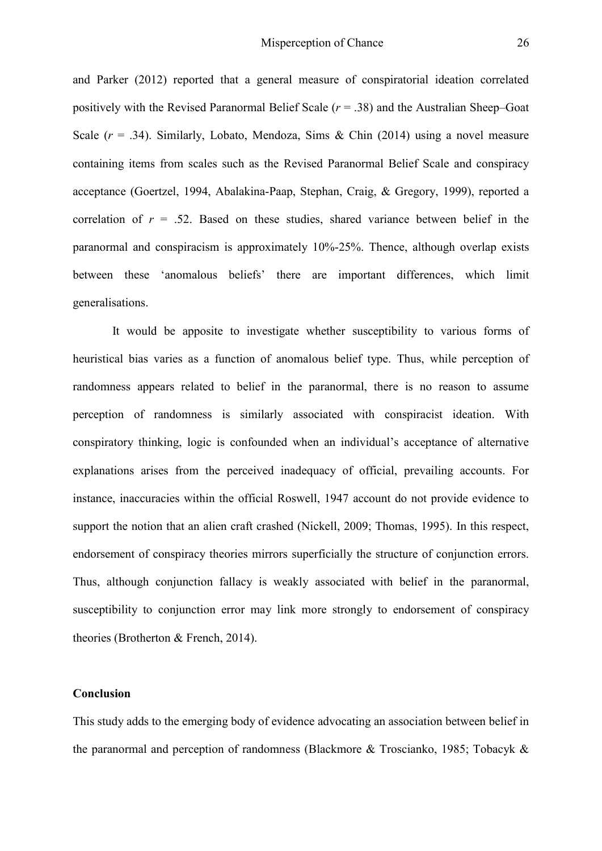and Parker (2012) reported that a general measure of conspiratorial ideation correlated positively with the Revised Paranormal Belief Scale (*r* = .38) and the Australian Sheep–Goat Scale  $(r = .34)$ . Similarly, Lobato, Mendoza, Sims & Chin (2014) using a novel measure containing items from scales such as the Revised Paranormal Belief Scale and conspiracy acceptance (Goertzel, 1994, Abalakina-Paap, Stephan, Craig, & Gregory, 1999), reported a correlation of  $r = 0.52$ . Based on these studies, shared variance between belief in the paranormal and conspiracism is approximately 10%-25%. Thence, although overlap exists between these 'anomalous beliefs' there are important differences, which limit generalisations.

It would be apposite to investigate whether susceptibility to various forms of heuristical bias varies as a function of anomalous belief type. Thus, while perception of randomness appears related to belief in the paranormal, there is no reason to assume perception of randomness is similarly associated with conspiracist ideation. With conspiratory thinking, logic is confounded when an individual's acceptance of alternative explanations arises from the perceived inadequacy of official, prevailing accounts. For instance, inaccuracies within the official Roswell, 1947 account do not provide evidence to support the notion that an alien craft crashed (Nickell, 2009; Thomas, 1995). In this respect, endorsement of conspiracy theories mirrors superficially the structure of conjunction errors. Thus, although conjunction fallacy is weakly associated with belief in the paranormal, susceptibility to conjunction error may link more strongly to endorsement of conspiracy theories (Brotherton & French, 2014).

# **Conclusion**

This study adds to the emerging body of evidence advocating an association between belief in the paranormal and perception of randomness (Blackmore & Troscianko, 1985; Tobacyk &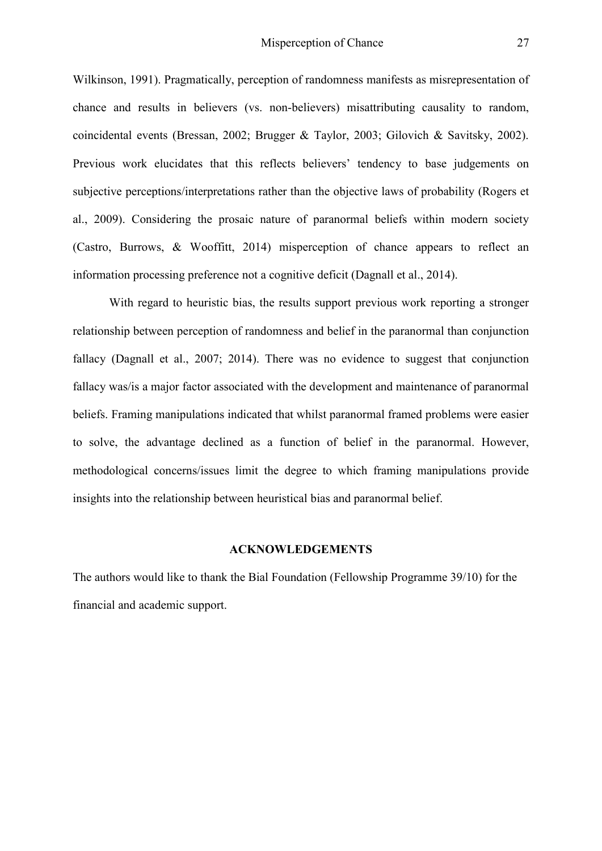Wilkinson, 1991). Pragmatically, perception of randomness manifests as misrepresentation of chance and results in believers (vs. non-believers) misattributing causality to random, coincidental events (Bressan, 2002; Brugger & Taylor, 2003; Gilovich & Savitsky, 2002). Previous work elucidates that this reflects believers' tendency to base judgements on subjective perceptions/interpretations rather than the objective laws of probability (Rogers et al., 2009). Considering the prosaic nature of paranormal beliefs within modern society (Castro, Burrows, & Wooffitt, 2014) misperception of chance appears to reflect an information processing preference not a cognitive deficit (Dagnall et al., 2014).

With regard to heuristic bias, the results support previous work reporting a stronger relationship between perception of randomness and belief in the paranormal than conjunction fallacy (Dagnall et al., 2007; 2014). There was no evidence to suggest that conjunction fallacy was/is a major factor associated with the development and maintenance of paranormal beliefs. Framing manipulations indicated that whilst paranormal framed problems were easier to solve, the advantage declined as a function of belief in the paranormal. However, methodological concerns/issues limit the degree to which framing manipulations provide insights into the relationship between heuristical bias and paranormal belief.

#### **ACKNOWLEDGEMENTS**

The authors would like to thank the Bial Foundation (Fellowship Programme 39/10) for the financial and academic support.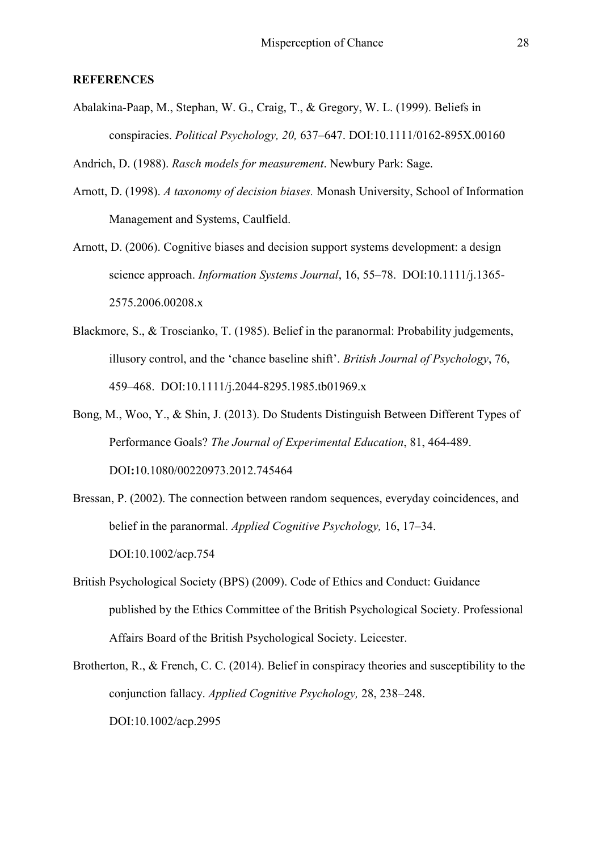#### **REFERENCES**

Abalakina-Paap, M., Stephan, W. G., Craig, T., & Gregory, W. L. (1999). Beliefs in conspiracies. *Political Psychology, 20,* 637–647. DOI:10.1111/0162-895X.00160

Andrich, D. (1988). *Rasch models for measurement*. Newbury Park: Sage.

- Arnott, D. (1998). *A taxonomy of decision biases.* Monash University, School of Information Management and Systems, Caulfield.
- Arnott, D. (2006). Cognitive biases and decision support systems development: a design science approach. *Information Systems Journal*, 16, 55–78. [DOI:10.1111/j.1365-](http://dx.doi.org/10.1111/j.1365-2575.2006.00208.x) [2575.2006.00208.x](http://dx.doi.org/10.1111/j.1365-2575.2006.00208.x)
- Blackmore, S., & Troscianko, T. (1985). Belief in the paranormal: Probability judgements, illusory control, and the 'chance baseline shift'. *British Journal of Psychology*, 76, 459–468. [DOI:10.1111/j.2044-8295.1985.tb01969.x](http://dx.doi.org/10.1111/j.2044-8295.1985.tb01969.x)
- Bong, M., Woo, Y., & Shin, J. (2013). Do Students Distinguish Between Different Types of Performance Goals? *The Journal of Experimental Education*, 81, 464-489. DOI**:**10.1080/00220973.2012.745464
- Bressan, P. (2002). The connection between random sequences, everyday coincidences, and belief in the paranormal. *Applied Cognitive Psychology,* 16, 17–34. [DOI:10.1002/acp.754](http://dx.doi.org/10.1002/acp.754)
- British Psychological Society (BPS) (2009). Code of Ethics and Conduct: Guidance published by the Ethics Committee of the British Psychological Society. Professional Affairs Board of the British Psychological Society. Leicester.
- Brotherton, R., & French, C. C. (2014). Belief in conspiracy theories and susceptibility to the conjunction fallacy. *Applied Cognitive Psychology,* 28, 238–248. [DOI:10.1002/acp.2995](http://dx.doi.org/10.1002/acp.2995)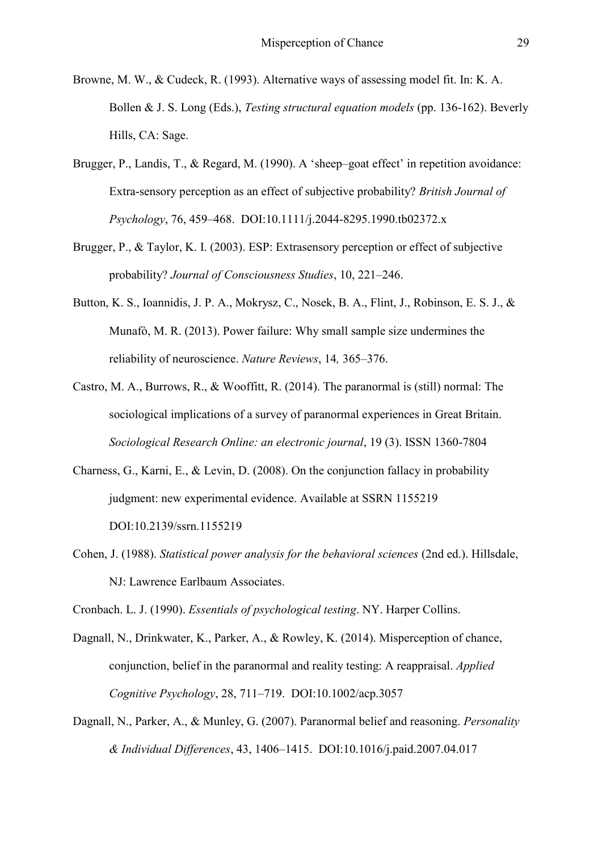- Browne, M. W., & Cudeck, R. (1993). Alternative ways of assessing model fit. In: K. A. Bollen & J. S. Long (Eds.), *Testing structural equation models* (pp. 136-162). Beverly Hills, CA: Sage.
- Brugger, P., Landis, T., & Regard, M. (1990). A 'sheep–goat effect' in repetition avoidance: Extra-sensory perception as an effect of subjective probability? *British Journal of Psychology*, 76, 459–468. [DOI:10.1111/j.2044-8295.1990.tb02372.x](http://dx.doi.org/10.1111/j.2044-8295.1990.tb02372.x)
- Brugger, P., & Taylor, K. I. (2003). ESP: Extrasensory perception or effect of subjective probability? *Journal of Consciousness Studies*, 10, 221–246.
- Button, K. S., Ioannidis, J. P. A., Mokrysz, C., Nosek, B. A., Flint, J., Robinson, E. S. J., & Munafò, M. R. (2013). Power failure: Why small sample size undermines the reliability of neuroscience. *Nature Reviews*, 14*,* 365–376.
- Castro, M. A., Burrows, R., & Wooffitt, R. (2014). The paranormal is (still) normal: The sociological implications of a survey of paranormal experiences in Great Britain. *Sociological Research Online: an electronic journal*, 19 (3). ISSN 1360-7804
- Charness, G., Karni, E., & Levin, D. (2008). On the conjunction fallacy in probability judgment: new experimental evidence. Available at SSRN 1155219 [DOI:10.2139/ssrn.1155219](http://dx.doi.org/10.2139/ssrn.1155219)
- Cohen, J. (1988). *Statistical power analysis for the behavioral sciences* (2nd ed.). Hillsdale, NJ: Lawrence Earlbaum Associates.

Cronbach. L. J. (1990). *Essentials of psychological testing*. NY. Harper Collins.

- Dagnall, N., Drinkwater, K., Parker, A., & Rowley, K. (2014). Misperception of chance, conjunction, belief in the paranormal and reality testing: A reappraisal. *Applied Cognitive Psychology*, 28, 711–719. [DOI:10.1002/acp.3057](http://dx.doi.org/10.1002/acp.3057)
- Dagnall, N., Parker, A., & Munley, G. (2007). Paranormal belief and reasoning. *Personality & Individual Differences*, 43, 1406–1415. [DOI:10.1016/j.paid.2007.04.017](http://dx.doi.org/10.1016/j.paid.2007.04.017)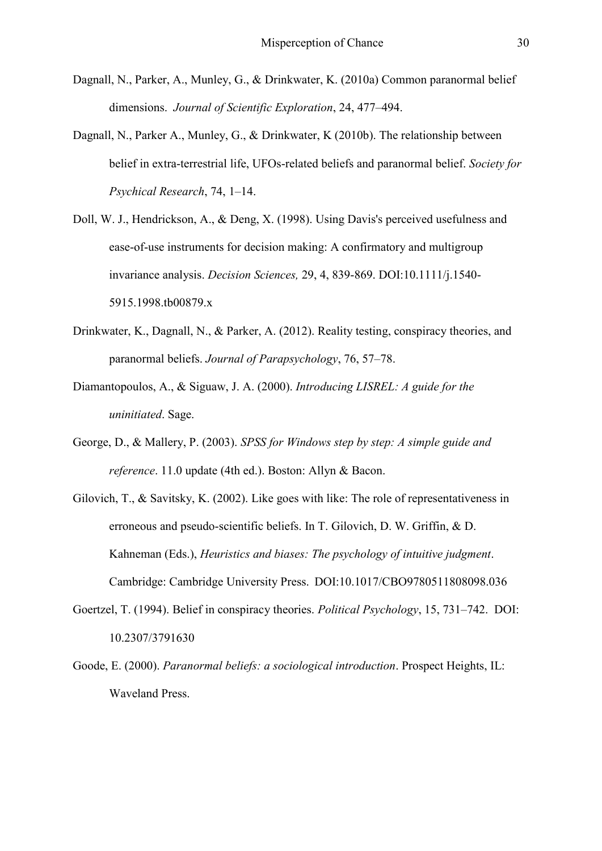- Dagnall, N., Parker, A., Munley, G., & Drinkwater, K. (2010a) Common paranormal belief dimensions. *Journal of Scientific Exploration*, 24, 477–494.
- Dagnall, N., Parker A., Munley, G., & Drinkwater, K (2010b). The relationship between belief in extra-terrestrial life, UFOs-related beliefs and paranormal belief. *Society for Psychical Research*, 74, 1–14.
- Doll, W. J., Hendrickson, A., & Deng, X. (1998). Using Davis's perceived usefulness and ease-of-use instruments for decision making: A confirmatory and multigroup invariance analysis. *Decision Sciences,* 29, 4, 839-869. DOI:10.1111/j.1540- 5915.1998.tb00879.x
- Drinkwater, K., Dagnall, N., & Parker, A. (2012). Reality testing, conspiracy theories, and paranormal beliefs. *Journal of Parapsychology*, 76, 57–78.
- Diamantopoulos, A., & Siguaw, J. A. (2000). *Introducing LISREL: A guide for the uninitiated*. Sage.
- George, D., & Mallery, P. (2003). *SPSS for Windows step by step: A simple guide and reference*. 11.0 update (4th ed.). Boston: Allyn & Bacon.
- Gilovich, T., & Savitsky, K. (2002). Like goes with like: The role of representativeness in erroneous and pseudo-scientific beliefs. In T. Gilovich, D. W. Griffin, & D. Kahneman (Eds.), *Heuristics and biases: The psychology of intuitive judgment*. Cambridge: Cambridge University Press. [DOI:10.1017/CBO9780511808098.036](http://dx.doi.org/10.1017/CBO9780511808098.036)
- Goertzel, T. (1994). Belief in conspiracy theories. *Political Psychology*, 15, 731–742. [DOI:](http://dx.doi.org/10.2307/3791630)  [10.2307/3791630](http://dx.doi.org/10.2307/3791630)
- Goode, E. (2000). *Paranormal beliefs: a sociological introduction*. Prospect Heights, IL: Waveland Press.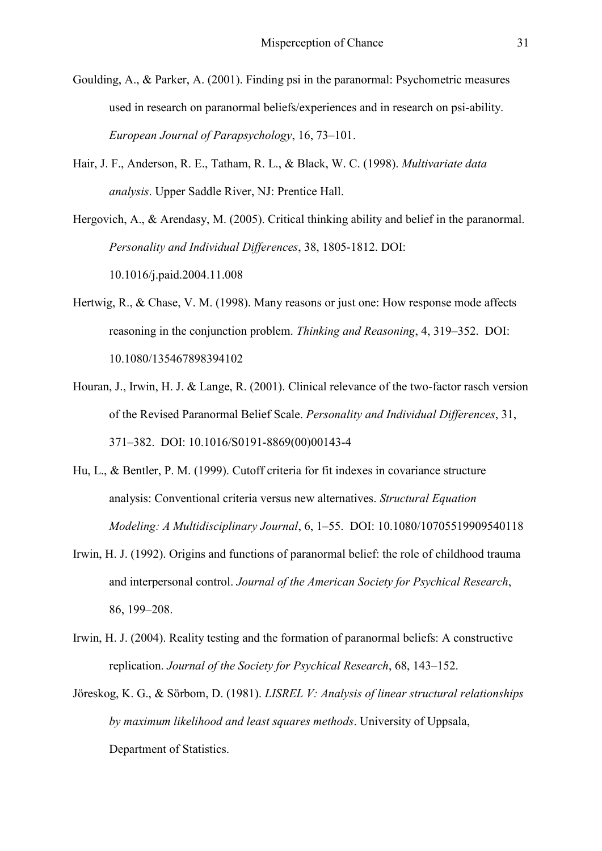Goulding, A., & Parker, A. (2001). Finding psi in the paranormal: Psychometric measures used in research on paranormal beliefs/experiences and in research on psi-ability. *European Journal of Parapsychology*, 16, 73–101.

Hair, J. F., Anderson, R. E., Tatham, R. L., & Black, W. C. (1998). *Multivariate data analysis*. Upper Saddle River, NJ: Prentice Hall.

Hergovich, A., & Arendasy, M. (2005). Critical thinking ability and belief in the paranormal. *Personality and Individual Differences*, 38, 1805-1812. DOI: 10.1016/j.paid.2004.11.008

- Hertwig, R., & Chase, V. M. (1998). Many reasons or just one: How response mode affects reasoning in the conjunction problem. *Thinking and Reasoning*, 4, 319–352. [DOI:](http://dx.doi.org/10.1080/135467898394102)  [10.1080/135467898394102](http://dx.doi.org/10.1080/135467898394102)
- Houran, J., Irwin, H. J. & Lange, R. (2001). Clinical relevance of the two-factor rasch version of the Revised Paranormal Belief Scale. *Personality and Individual Differences*, 31, 371–382. [DOI: 10.1016/S0191-8869\(00\)00143-4](http://dx.doi.org/10.1016/S0191-8869%2800%2900143-4)
- Hu, L., & Bentler, P. M. (1999). Cutoff criteria for fit indexes in covariance structure analysis: Conventional criteria versus new alternatives. *Structural Equation Modeling: A Multidisciplinary Journal*, 6, 1–55. [DOI: 10.1080/10705519909540118](http://dx.doi.org/10.1080/10705519909540118)
- Irwin, H. J. (1992). Origins and functions of paranormal belief: the role of childhood trauma and interpersonal control. *Journal of the American Society for Psychical Research*, 86, 199–208.
- Irwin, H. J. (2004). Reality testing and the formation of paranormal beliefs: A constructive replication. *Journal of the Society for Psychical Research*, 68, 143–152.
- Jöreskog, K. G., & Sörbom, D. (1981). *LISREL V: Analysis of linear structural relationships by maximum likelihood and least squares methods*. University of Uppsala, Department of Statistics.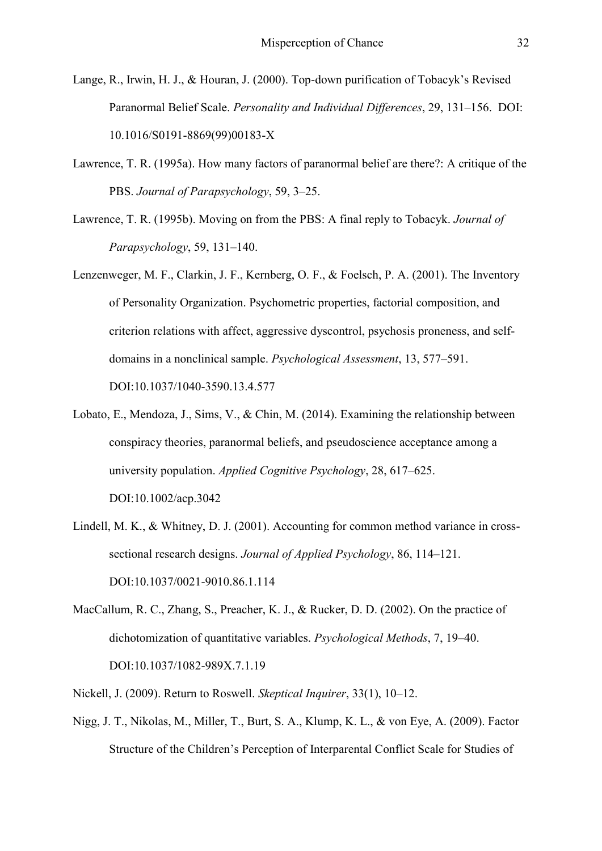- Lange, R., Irwin, H. J., & Houran, J. (2000). Top-down purification of Tobacyk's Revised Paranormal Belief Scale. *Personality and Individual Differences*, 29, 131–156. [DOI:](http://dx.doi.org/10.1016/S0191-8869%2899%2900183-X)  [10.1016/S0191-8869\(99\)00183-X](http://dx.doi.org/10.1016/S0191-8869%2899%2900183-X)
- Lawrence, T. R. (1995a). How many factors of paranormal belief are there?: A critique of the PBS. *Journal of Parapsychology*, 59, 3–25.
- Lawrence, T. R. (1995b). Moving on from the PBS: A final reply to Tobacyk. *Journal of Parapsychology*, 59, 131–140.
- Lenzenweger, M. F., Clarkin, J. F., Kernberg, O. F., & Foelsch, P. A. (2001). The Inventory of Personality Organization. Psychometric properties, factorial composition, and criterion relations with affect, aggressive dyscontrol, psychosis proneness, and selfdomains in a nonclinical sample. *Psychological Assessment*, 13, 577–591. [DOI:10.1037/1040-3590.13.4.577](http://dx.doi.org/10.1037/1040-3590.13.4.577)
- Lobato, E., Mendoza, J., Sims, V., & Chin, M. (2014). Examining the relationship between conspiracy theories, paranormal beliefs, and pseudoscience acceptance among a university population. *Applied Cognitive Psychology*, 28, 617–625. [DOI:10.1002/acp.3042](http://dx.doi.org/10.1002/acp.3042)
- Lindell, M. K., & Whitney, D. J. (2001). Accounting for common method variance in crosssectional research designs. *Journal of Applied Psychology*, 86, 114–121. [DOI:10.1037/0021-9010.86.1.114](http://dx.doi.org/10.1037/0021-9010.86.1.114)
- MacCallum, R. C., Zhang, S., Preacher, K. J., & Rucker, D. D. (2002). On the practice of dichotomization of quantitative variables. *Psychological Methods*, 7, 19–40. [DOI:10.1037/1082-989X.7.1.19](http://dx.doi.org/10.1037/1082-989X.7.1.19)
- Nickell, J. (2009). Return to Roswell. *Skeptical Inquirer*, 33(1), 10–12.
- Nigg, J. T., Nikolas, M., Miller, T., Burt, S. A., Klump, K. L., & von Eye, A. (2009). Factor Structure of the Children's Perception of Interparental Conflict Scale for Studies of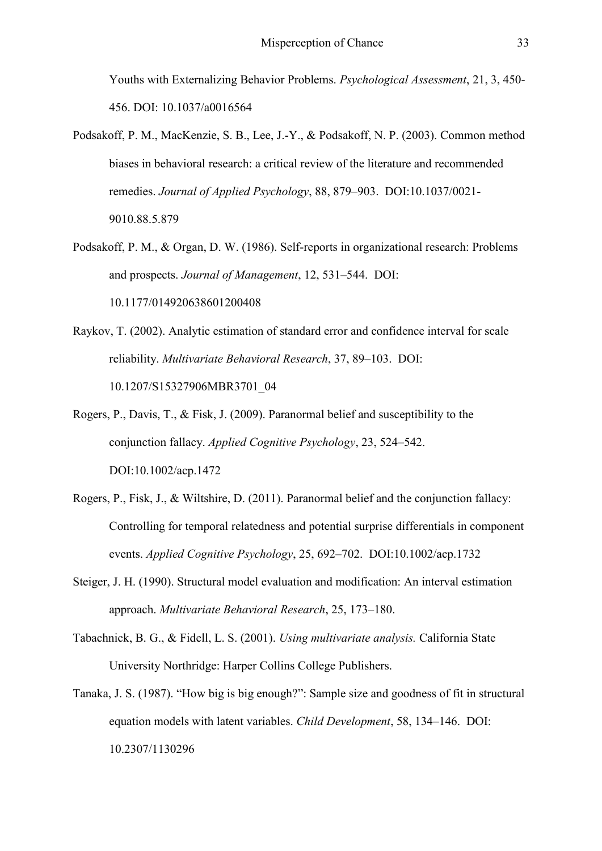Youths with Externalizing Behavior Problems. *Psychological Assessment*, 21, 3, 450- 456. DOI: 10.1037/a0016564

- Podsakoff, P. M., MacKenzie, S. B., Lee, J.-Y., & Podsakoff, N. P. (2003). Common method biases in behavioral research: a critical review of the literature and recommended remedies. *Journal of Applied Psychology*, 88, 879–903. [DOI:10.1037/0021-](http://dx.doi.org/10.1037/0021-9010.88.5.879) [9010.88.5.879](http://dx.doi.org/10.1037/0021-9010.88.5.879)
- Podsakoff, P. M., & Organ, D. W. (1986). Self-reports in organizational research: Problems and prospects. *Journal of Management*, 12, 531–544. [DOI:](http://dx.doi.org/10.1177/014920638601200408)  [10.1177/014920638601200408](http://dx.doi.org/10.1177/014920638601200408)
- Raykov, T. (2002). Analytic estimation of standard error and confidence interval for scale reliability. *Multivariate Behavioral Research*, 37, 89–103. [DOI:](http://dx.doi.org/10.1207/S15327906MBR3701_04)  [10.1207/S15327906MBR3701\\_04](http://dx.doi.org/10.1207/S15327906MBR3701_04)
- Rogers, P., Davis, T., & Fisk, J. (2009). Paranormal belief and susceptibility to the conjunction fallacy. *Applied Cognitive Psychology*, 23, 524–542. [DOI:10.1002/acp.1472](http://dx.doi.org/10.1002/acp.1472)
- Rogers, P., Fisk, J., & Wiltshire, D. (2011). Paranormal belief and the conjunction fallacy: Controlling for temporal relatedness and potential surprise differentials in component events. *Applied Cognitive Psychology*, 25, 692–702. [DOI:10.1002/acp.1732](http://dx.doi.org/10.1002/acp.1732)
- Steiger, J. H. (1990). Structural model evaluation and modification: An interval estimation approach. *Multivariate Behavioral Research*, 25, 173–180.
- Tabachnick, B. G., & Fidell, L. S. (2001). *Using multivariate analysis.* California State University Northridge: Harper Collins College Publishers.
- Tanaka, J. S. (1987). "How big is big enough?": Sample size and goodness of fit in structural equation models with latent variables. *Child Development*, 58, 134–146. [DOI:](http://doi.org/10.2307/1130296) [10.2307/1130296](http://doi.org/10.2307/1130296)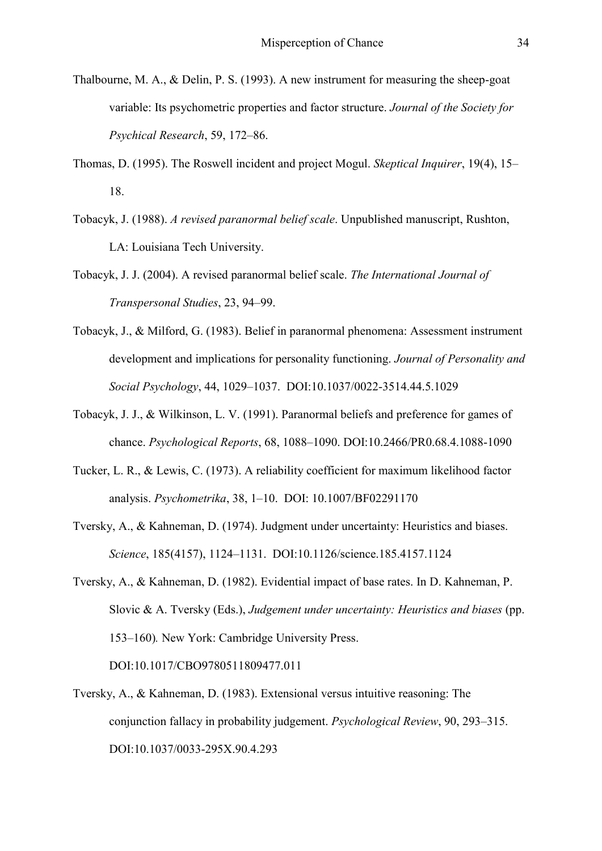- Thalbourne, M. A., & Delin, P. S. (1993). A new instrument for measuring the sheep-goat variable: Its psychometric properties and factor structure. *Journal of the Society for Psychical Research*, 59, 172–86.
- Thomas, D. (1995). The Roswell incident and project Mogul. *Skeptical Inquirer*, 19(4), 15– 18.
- Tobacyk, J. (1988). *A revised paranormal belief scale*. Unpublished manuscript, Rushton, LA: Louisiana Tech University.
- Tobacyk, J. J. (2004). A revised paranormal belief scale. *The International Journal of Transpersonal Studies*, 23, 94–99.
- Tobacyk, J., & Milford, G. (1983). Belief in paranormal phenomena: Assessment instrument development and implications for personality functioning. *Journal of Personality and Social Psychology*, 44, 1029–1037. [DOI:10.1037/0022-3514.44.5.1029](http://dx.doi.org/10.1037/0022-3514.44.5.1029)
- Tobacyk, J. J., & Wilkinson, L. V. (1991). Paranormal beliefs and preference for games of chance. *Psychological Reports*, 68, 1088–1090. DOI:10.2466/PR0.68.4.1088-1090
- Tucker, L. R., & Lewis, C. (1973). A reliability coefficient for maximum likelihood factor analysis. *Psychometrika*, 38, 1–10. [DOI: 10.1007/BF02291170](http://dx.doi.org/10.1007/BF02291170)
- Tversky, A., & Kahneman, D. (1974). Judgment under uncertainty: Heuristics and biases. *Science*, 185(4157), 1124–1131. [DOI:10.1126/science.185.4157.1124](http://dx.doi.org/10.1126/science.185.4157.1124)
- Tversky, A., & Kahneman, D. (1982). Evidential impact of base rates. In D. Kahneman, P. Slovic & A. Tversky (Eds.), *Judgement under uncertainty: Heuristics and biases* (pp. 153–160)*.* New York: Cambridge University Press. [DOI:10.1017/CBO9780511809477.011](http://dx.doi.org/10.1017/CBO9780511809477.011)
- Tversky, A., & Kahneman, D. (1983). Extensional versus intuitive reasoning: The conjunction fallacy in probability judgement. *Psychological Review*, 90, 293–315.

[DOI:10.1037/0033-295X.90.4.293](http://dx.doi.org/10.1037/0033-295X.90.4.293)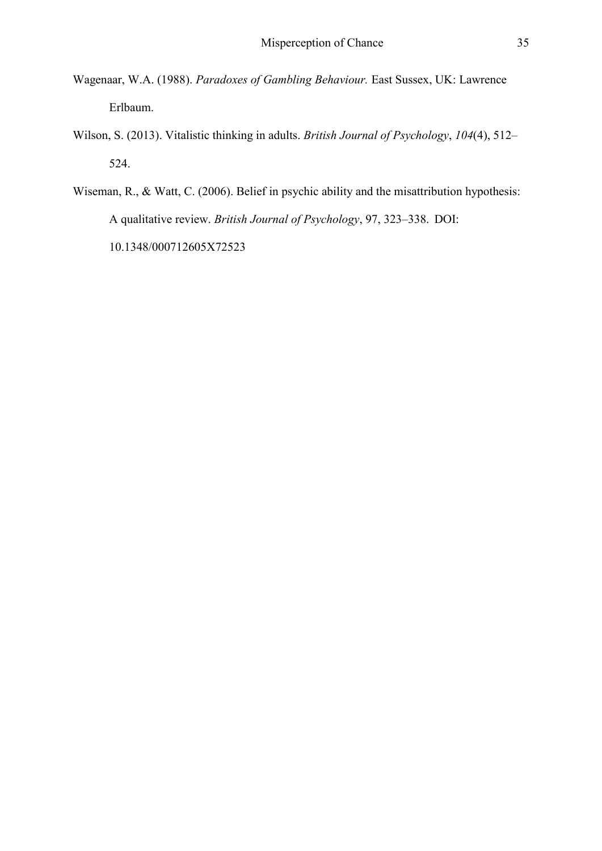- Wagenaar, W.A. (1988). *Paradoxes of Gambling Behaviour.* East Sussex, UK: Lawrence Erlbaum.
- Wilson, S. (2013). Vitalistic thinking in adults. *British Journal of Psychology*, *104*(4), 512– 524.
- Wiseman, R., & Watt, C. (2006). Belief in psychic ability and the misattribution hypothesis: A qualitative review. *British Journal of Psychology*, 97, 323–338. [DOI:](http://dx.doi.org/10.1348/000712605X72523)  [10.1348/000712605X72523](http://dx.doi.org/10.1348/000712605X72523)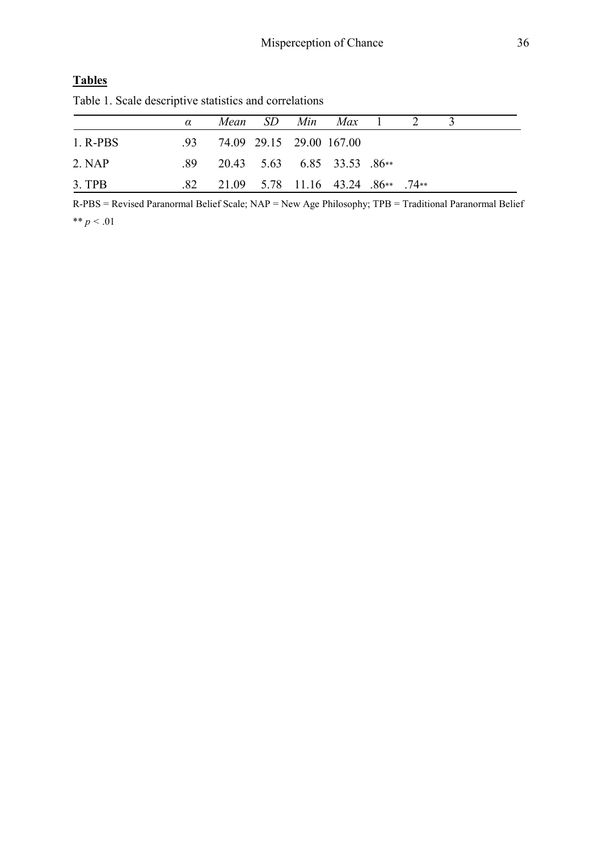# **Tables**

Table 1. Scale descriptive statistics and correlations

|            | $\alpha$ |                          |  | Mean SD Min Max 1 2                                      |  |  |
|------------|----------|--------------------------|--|----------------------------------------------------------|--|--|
| $1.$ R-PBS | -93-     | 74.09 29.15 29.00 167.00 |  |                                                          |  |  |
| 2. NAP     |          |                          |  | $.89$ 20.43 5.63 6.85 33.53 .86**                        |  |  |
| $3.$ TPB   |          |                          |  | $.82$ $.21.09$ $.5.78$ $.11.16$ $.43.24$ $.86**$ $.74**$ |  |  |

R-PBS = Revised Paranormal Belief Scale; NAP = New Age Philosophy; TPB = Traditional Paranormal Belief \*\* *p <* .01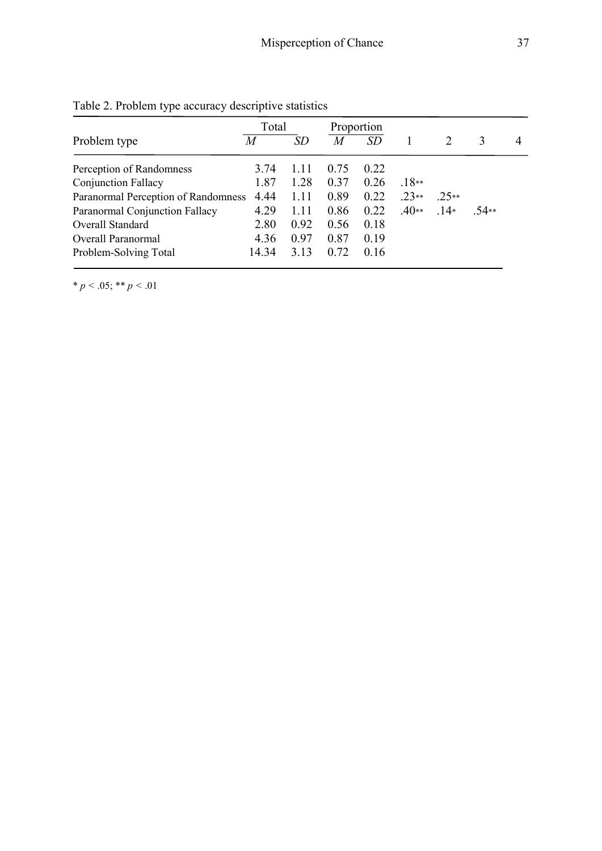|                                     | Total |       | Proportion |           |         |         |      |   |
|-------------------------------------|-------|-------|------------|-----------|---------|---------|------|---|
| Problem type                        | M     | SD    | M          | <i>SD</i> |         |         | 3    | 4 |
| Perception of Randomness            | 3.74  | 1 1 1 | 0.75       | 0.22      |         |         |      |   |
| <b>Conjunction Fallacy</b>          | 1.87  | 1.28  | 0.37       | 0.26      | $.18**$ |         |      |   |
| Paranormal Perception of Randomness | 4.44  | 1.11  | 0.89       | 0.22      | $.23**$ | $.25**$ |      |   |
| Paranormal Conjunction Fallacy      | 4.29  | 1.11  | 0.86       | 0.22      | $.40**$ | $14*$   | 54** |   |
| Overall Standard                    | 2.80  | 0.92  | 0.56       | 0.18      |         |         |      |   |
| Overall Paranormal                  | 4.36  | 0.97  | 0.87       | 0.19      |         |         |      |   |
| Problem-Solving Total               | 14.34 | 3.13  | 0.72       | 0.16      |         |         |      |   |

Table 2. Problem type accuracy descriptive statistics

\* *p* < .05; \*\* *p* < .01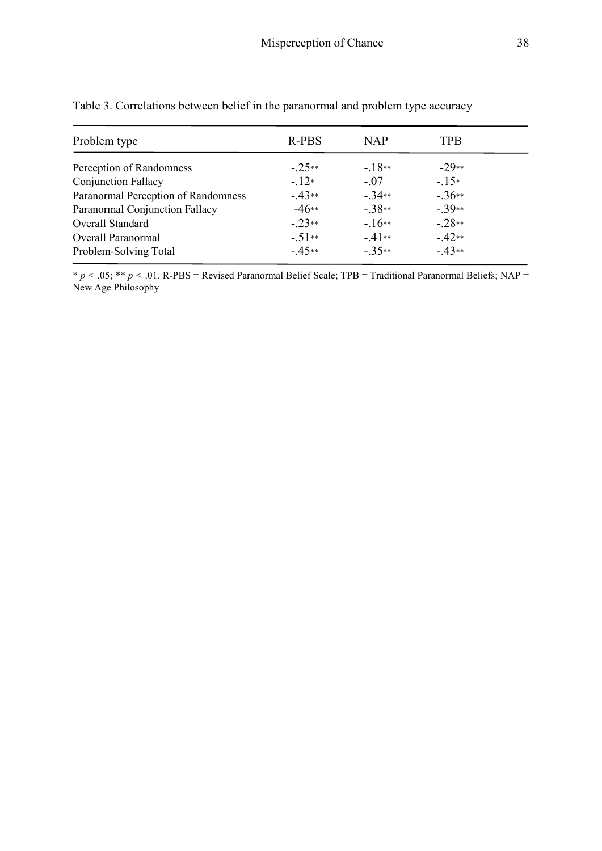| Problem type                        | R-PBS   | <b>NAP</b> | <b>TPB</b> |
|-------------------------------------|---------|------------|------------|
| Perception of Randomness            | $-25**$ | $-18**$    | $-29**$    |
| <b>Conjunction Fallacy</b>          | $-12*$  | $-.07$     | $-15*$     |
| Paranormal Perception of Randomness | $-43**$ | $-34**$    | $-36**$    |
| Paranormal Conjunction Fallacy      | $-46**$ | $-38**$    | $-39**$    |
| Overall Standard                    | $-23**$ | $-16**$    | $-28**$    |
| Overall Paranormal                  | $-51**$ | $-41**$    | $-42**$    |
| Problem-Solving Total               | $-45**$ | $-35**$    | $-43**$    |

Table 3. Correlations between belief in the paranormal and problem type accuracy

\* *p <* .05; \*\* *p <* .01. R-PBS = Revised Paranormal Belief Scale; TPB = Traditional Paranormal Beliefs; NAP = New Age Philosophy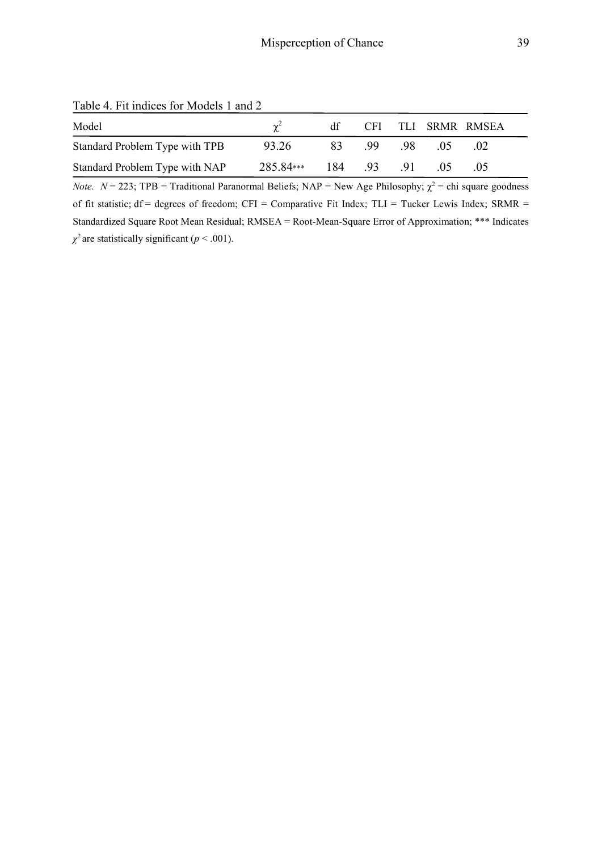Table 4. Fit indices for Models 1 and 2

| Model                          |                       |          |      | df CFI TLI SRMR RMSEA |  |
|--------------------------------|-----------------------|----------|------|-----------------------|--|
| Standard Problem Type with TPB | 93.26                 | 83 99 98 | (15) | .02                   |  |
| Standard Problem Type with NAP | 285.84*** 184 .93 .91 |          | (15) | -05                   |  |

*Note.*  $N = 223$ ; TPB = Traditional Paranormal Beliefs; NAP = New Age Philosophy;  $\chi^2$  = chi square goodness of fit statistic;  $df = degrees of freedom$ ;  $CFI = Comparative Fit Index$ ;  $TLI = Tucker Lewis Index$ ;  $SRMR =$ Standardized Square Root Mean Residual; RMSEA = Root-Mean-Square Error of Approximation; \*\*\* Indicates  $\chi^2$  are statistically significant (*p* < .001).